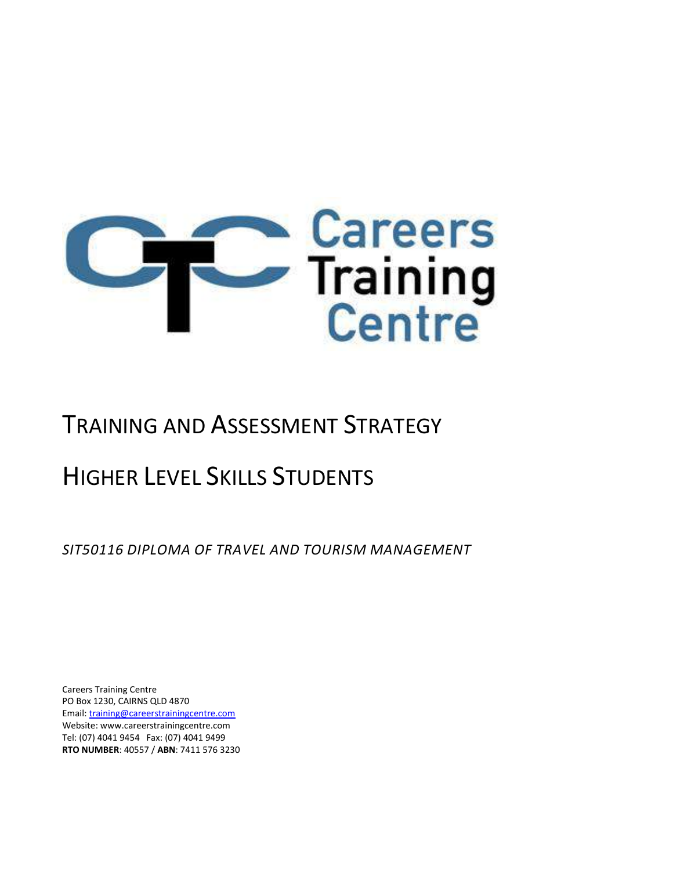

# TRAINING AND ASSESSMENT STRATEGY

# HIGHER LEVEL SKILLS STUDENTS

*SIT50116 DIPLOMA OF TRAVEL AND TOURISM MANAGEMENT*

Careers Training Centre PO Box 1230, CAIRNS QLD 4870 Email[: training@careerstrainingcentre.com](mailto:training@careerstrainingcentre.com) Website: www.careerstrainingcentre.com Tel: (07) 4041 9454 Fax: (07) 4041 9499 **RTO NUMBER**: 40557 / **ABN**: 7411 576 3230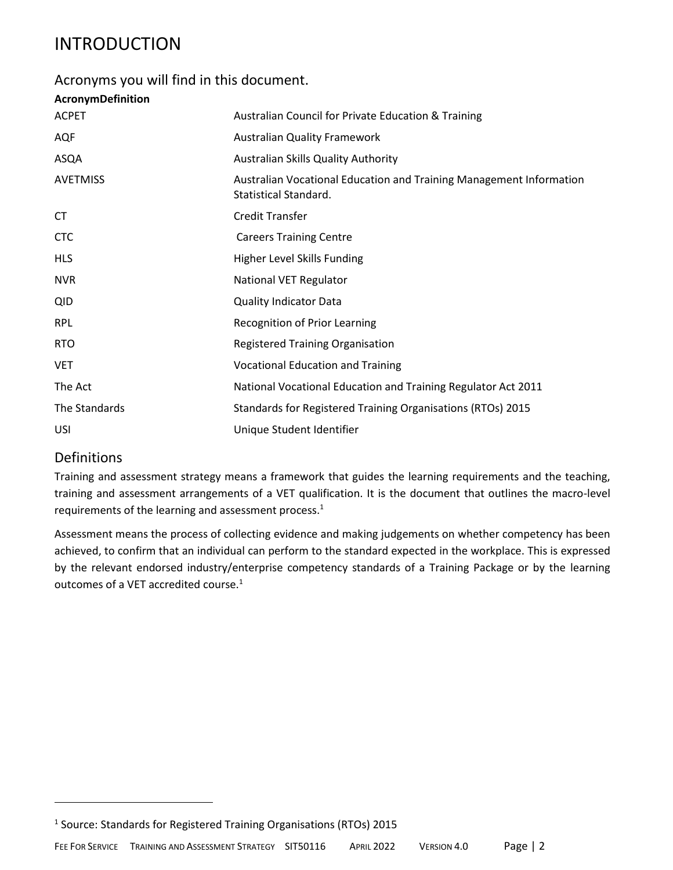## INTRODUCTION

## Acronyms you will find in this document.

| AcronymDefinition |                                                                                              |
|-------------------|----------------------------------------------------------------------------------------------|
| <b>ACPET</b>      | Australian Council for Private Education & Training                                          |
| <b>AQF</b>        | <b>Australian Quality Framework</b>                                                          |
| ASQA              | <b>Australian Skills Quality Authority</b>                                                   |
| <b>AVETMISS</b>   | Australian Vocational Education and Training Management Information<br>Statistical Standard. |
| СT                | <b>Credit Transfer</b>                                                                       |
| <b>CTC</b>        | <b>Careers Training Centre</b>                                                               |
| <b>HLS</b>        | Higher Level Skills Funding                                                                  |
| <b>NVR</b>        | National VET Regulator                                                                       |
| <b>QID</b>        | <b>Quality Indicator Data</b>                                                                |
| <b>RPL</b>        | <b>Recognition of Prior Learning</b>                                                         |
| <b>RTO</b>        | <b>Registered Training Organisation</b>                                                      |
| <b>VET</b>        | <b>Vocational Education and Training</b>                                                     |
| The Act           | National Vocational Education and Training Regulator Act 2011                                |
| The Standards     | Standards for Registered Training Organisations (RTOs) 2015                                  |
| <b>USI</b>        | Unique Student Identifier                                                                    |

### Definitions

Training and assessment strategy means a framework that guides the learning requirements and the teaching, training and assessment arrangements of a VET qualification. It is the document that outlines the macro-level requirements of the learning and assessment process.<sup>1</sup>

Assessment means the process of collecting evidence and making judgements on whether competency has been achieved, to confirm that an individual can perform to the standard expected in the workplace. This is expressed by the relevant endorsed industry/enterprise competency standards of a Training Package or by the learning outcomes of a VET accredited course.<sup>1</sup>

<sup>&</sup>lt;sup>1</sup> Source: Standards for Registered Training Organisations (RTOs) 2015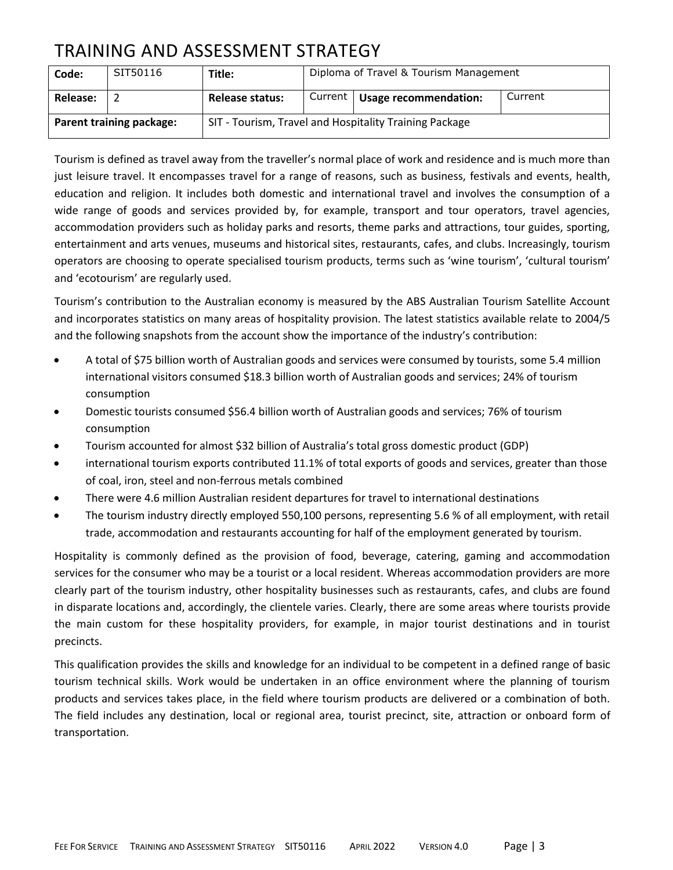## TRAINING AND ASSESSMENT STRATEGY

| Code:                           | SIT50116 | Title:                 | Diploma of Travel & Tourism Management                 |         |
|---------------------------------|----------|------------------------|--------------------------------------------------------|---------|
| Release:                        |          | <b>Release status:</b> | Current   Usage recommendation:                        | Current |
| <b>Parent training package:</b> |          |                        | SIT - Tourism, Travel and Hospitality Training Package |         |

Tourism is defined as travel away from the traveller's normal place of work and residence and is much more than just leisure travel. It encompasses travel for a range of reasons, such as business, festivals and events, health, education and religion. It includes both domestic and international travel and involves the consumption of a wide range of goods and services provided by, for example, transport and tour operators, travel agencies, accommodation providers such as holiday parks and resorts, theme parks and attractions, tour guides, sporting, entertainment and arts venues, museums and historical sites, restaurants, cafes, and clubs. Increasingly, tourism operators are choosing to operate specialised tourism products, terms such as 'wine tourism', 'cultural tourism' and 'ecotourism' are regularly used.

Tourism's contribution to the Australian economy is measured by the ABS Australian Tourism Satellite Account and incorporates statistics on many areas of hospitality provision. The latest statistics available relate to 2004/5 and the following snapshots from the account show the importance of the industry's contribution:

- A total of \$75 billion worth of Australian goods and services were consumed by tourists, some 5.4 million international visitors consumed \$18.3 billion worth of Australian goods and services; 24% of tourism consumption
- Domestic tourists consumed \$56.4 billion worth of Australian goods and services; 76% of tourism consumption
- Tourism accounted for almost \$32 billion of Australia's total gross domestic product (GDP)
- international tourism exports contributed 11.1% of total exports of goods and services, greater than those of coal, iron, steel and non-ferrous metals combined
- There were 4.6 million Australian resident departures for travel to international destinations
- The tourism industry directly employed 550,100 persons, representing 5.6 % of all employment, with retail trade, accommodation and restaurants accounting for half of the employment generated by tourism.

Hospitality is commonly defined as the provision of food, beverage, catering, gaming and accommodation services for the consumer who may be a tourist or a local resident. Whereas accommodation providers are more clearly part of the tourism industry, other hospitality businesses such as restaurants, cafes, and clubs are found in disparate locations and, accordingly, the clientele varies. Clearly, there are some areas where tourists provide the main custom for these hospitality providers, for example, in major tourist destinations and in tourist precincts.

This qualification provides the skills and knowledge for an individual to be competent in a defined range of basic tourism technical skills. Work would be undertaken in an office environment where the planning of tourism products and services takes place, in the field where tourism products are delivered or a combination of both. The field includes any destination, local or regional area, tourist precinct, site, attraction or onboard form of transportation.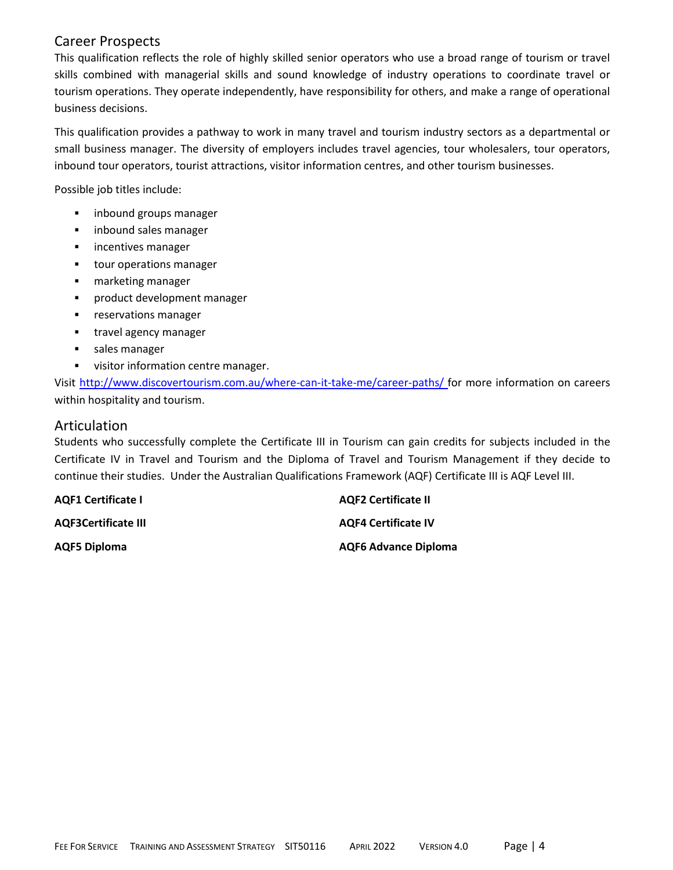#### Career Prospects

This qualification reflects the role of highly skilled senior operators who use a broad range of tourism or travel skills combined with managerial skills and sound knowledge of industry operations to coordinate travel or tourism operations. They operate independently, have responsibility for others, and make a range of operational business decisions.

This qualification provides a pathway to work in many travel and tourism industry sectors as a departmental or small business manager. The diversity of employers includes travel agencies, tour wholesalers, tour operators, inbound tour operators, tourist attractions, visitor information centres, and other tourism businesses.

Possible job titles include:

- inbound groups manager
- inbound sales manager
- **·** incentives manager
- tour operations manager
- marketing manager
- **·** product development manager
- **•** reservations manager
- **■** travel agency manager
- sales manager
- **■** visitor information centre manager.

Visit<http://www.discovertourism.com.au/where-can-it-take-me/career-paths/> for more information on careers within hospitality and tourism.

#### Articulation

Students who successfully complete the Certificate III in Tourism can gain credits for subjects included in the Certificate IV in Travel and Tourism and the Diploma of Travel and Tourism Management if they decide to continue their studies. Under the Australian Qualifications Framework (AQF) Certificate III is AQF Level III.

**AQF1 Certificate I AQF2 Certificate II AQF3Certificate III AQF4 Certificate IV AQF5 Diploma AQF6 Advance Diploma**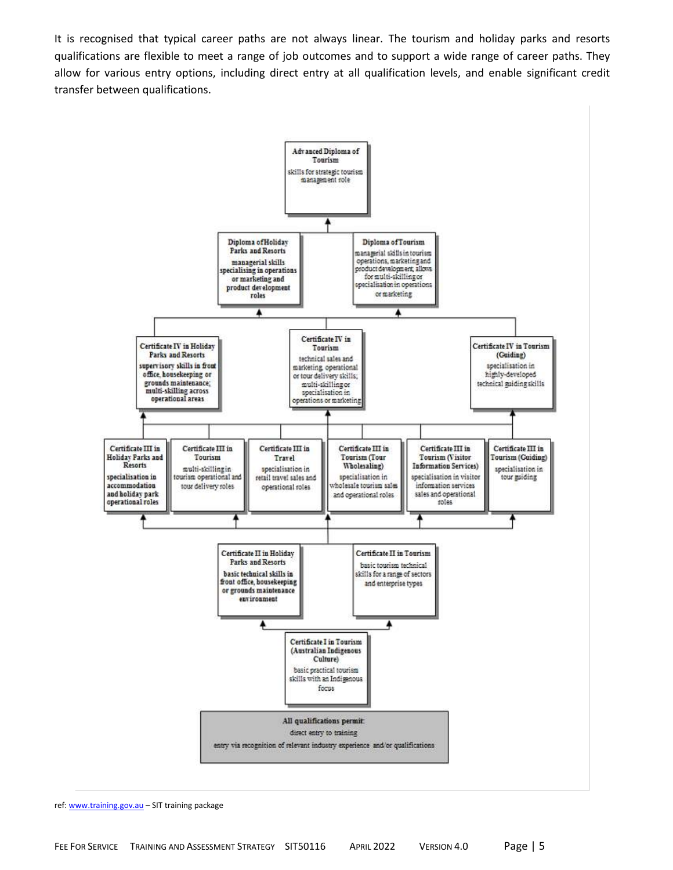It is recognised that typical career paths are not always linear. The tourism and holiday parks and resorts qualifications are flexible to meet a range of job outcomes and to support a wide range of career paths. They allow for various entry options, including direct entry at all qualification levels, and enable significant credit transfer between qualifications.



ref: [www.training.gov.au](http://www.training.gov.au/) – SIT training package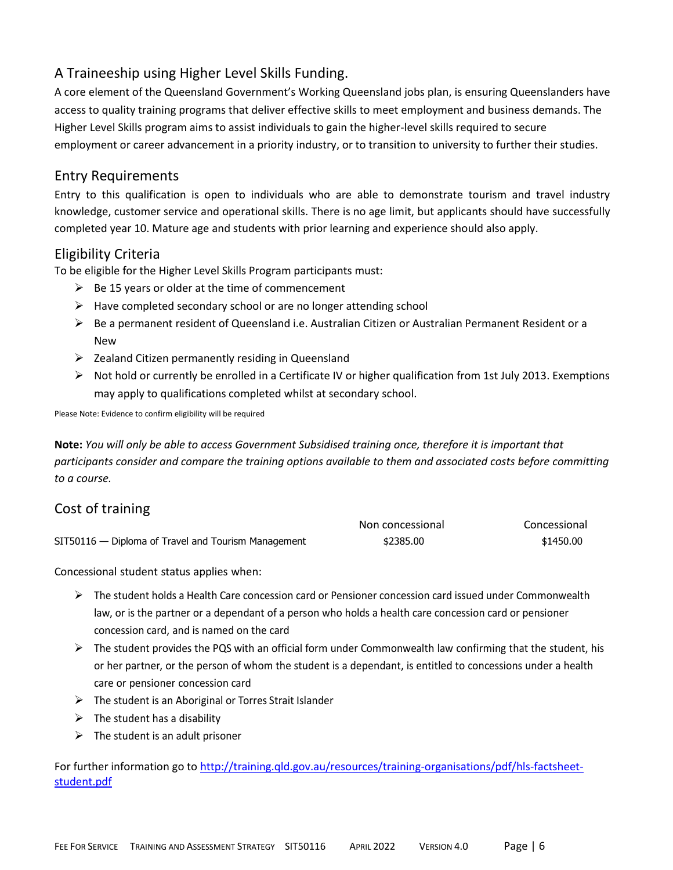## A Traineeship using Higher Level Skills Funding.

A core element of the Queensland Government's Working Queensland jobs plan, is ensuring Queenslanders have access to quality training programs that deliver effective skills to meet employment and business demands. The Higher Level Skills program aims to assist individuals to gain the higher-level skills required to secure employment or career advancement in a priority industry, or to transition to university to further their studies.

### Entry Requirements

Entry to this qualification is open to individuals who are able to demonstrate tourism and travel industry knowledge, customer service and operational skills. There is no age limit, but applicants should have successfully completed year 10. Mature age and students with prior learning and experience should also apply.

## Eligibility Criteria

To be eligible for the Higher Level Skills Program participants must:

- $\triangleright$  Be 15 years or older at the time of commencement
- $\triangleright$  Have completed secondary school or are no longer attending school
- ➢ Be a permanent resident of Queensland i.e. Australian Citizen or Australian Permanent Resident or a New
- $\triangleright$  Zealand Citizen permanently residing in Queensland
- $\triangleright$  Not hold or currently be enrolled in a Certificate IV or higher qualification from 1st July 2013. Exemptions may apply to qualifications completed whilst at secondary school.

Please Note: Evidence to confirm eligibility will be required

**Note:** *You will only be able to access Government Subsidised training once, therefore it is important that participants consider and compare the training options available to them and associated costs before committing to a course.*

## Cost of training

|                                                     | Non concessional | Concessional |
|-----------------------------------------------------|------------------|--------------|
| SIT50116 — Diploma of Travel and Tourism Management | \$2385.00        | \$1450.00    |

Concessional student status applies when:

- ➢ The student holds a Health Care concession card or Pensioner concession card issued under Commonwealth law, or is the partner or a dependant of a person who holds a health care concession card or pensioner concession card, and is named on the card
- $\triangleright$  The student provides the PQS with an official form under Commonwealth law confirming that the student, his or her partner, or the person of whom the student is a dependant, is entitled to concessions under a health care or pensioner concession card
- $\triangleright$  The student is an Aboriginal or Torres Strait Islander
- $\triangleright$  The student has a disability
- $\triangleright$  The student is an adult prisoner

For further information go to [http://training.qld.gov.au/resources/training-organisations/pdf/hls-factsheet](http://training.qld.gov.au/resources/training-organisations/pdf/hls-factsheet-student.pdf)[student.pdf](http://training.qld.gov.au/resources/training-organisations/pdf/hls-factsheet-student.pdf)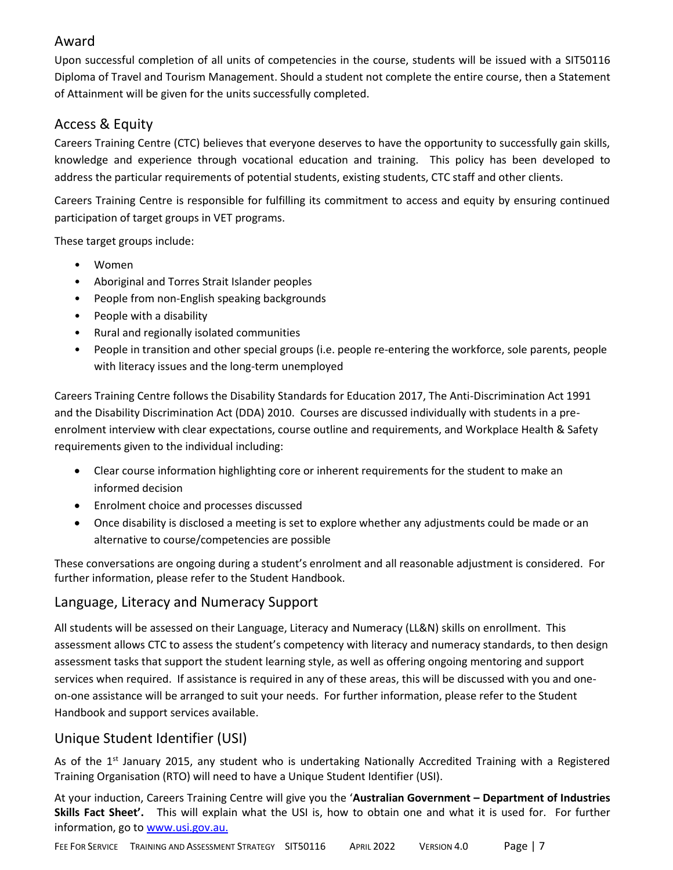## Award

Upon successful completion of all units of competencies in the course, students will be issued with a SIT50116 Diploma of Travel and Tourism Management. Should a student not complete the entire course, then a Statement of Attainment will be given for the units successfully completed.

## Access & Equity

Careers Training Centre (CTC) believes that everyone deserves to have the opportunity to successfully gain skills, knowledge and experience through vocational education and training. This policy has been developed to address the particular requirements of potential students, existing students, CTC staff and other clients.

Careers Training Centre is responsible for fulfilling its commitment to access and equity by ensuring continued participation of target groups in VET programs.

These target groups include:

- Women
- Aboriginal and Torres Strait Islander peoples
- People from non-English speaking backgrounds
- People with a disability
- Rural and regionally isolated communities
- People in transition and other special groups (i.e. people re-entering the workforce, sole parents, people with literacy issues and the long-term unemployed

Careers Training Centre follows the Disability Standards for Education 2017, The Anti-Discrimination Act 1991 and the Disability Discrimination Act (DDA) 2010. Courses are discussed individually with students in a preenrolment interview with clear expectations, course outline and requirements, and Workplace Health & Safety requirements given to the individual including:

- Clear course information highlighting core or inherent requirements for the student to make an informed decision
- Enrolment choice and processes discussed
- Once disability is disclosed a meeting is set to explore whether any adjustments could be made or an alternative to course/competencies are possible

These conversations are ongoing during a student's enrolment and all reasonable adjustment is considered. For further information, please refer to the Student Handbook.

## Language, Literacy and Numeracy Support

All students will be assessed on their Language, Literacy and Numeracy (LL&N) skills on enrollment. This assessment allows CTC to assess the student's competency with literacy and numeracy standards, to then design assessment tasks that support the student learning style, as well as offering ongoing mentoring and support services when required. If assistance is required in any of these areas, this will be discussed with you and oneon-one assistance will be arranged to suit your needs. For further information, please refer to the Student Handbook and support services available.

## Unique Student Identifier (USI)

As of the 1<sup>st</sup> January 2015, any student who is undertaking Nationally Accredited Training with a Registered Training Organisation (RTO) will need to have a Unique Student Identifier (USI).

At your induction, Careers Training Centre will give you the '**Australian Government – Department of Industries Skills Fact Sheet'.** This will explain what the USI is, how to obtain one and what it is used for. For further information, go to [www.usi.gov.au.](http://www.usi.gov.au/)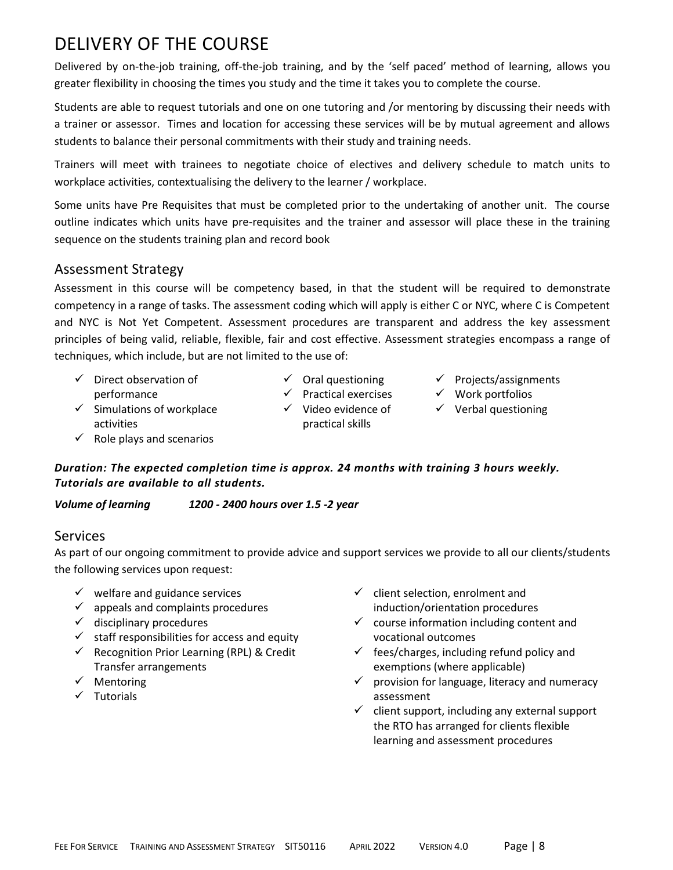## DELIVERY OF THE COURSE

Delivered by on-the-job training, off-the-job training, and by the 'self paced' method of learning, allows you greater flexibility in choosing the times you study and the time it takes you to complete the course.

Students are able to request tutorials and one on one tutoring and /or mentoring by discussing their needs with a trainer or assessor. Times and location for accessing these services will be by mutual agreement and allows students to balance their personal commitments with their study and training needs.

Trainers will meet with trainees to negotiate choice of electives and delivery schedule to match units to workplace activities, contextualising the delivery to the learner / workplace.

Some units have Pre Requisites that must be completed prior to the undertaking of another unit. The course outline indicates which units have pre-requisites and the trainer and assessor will place these in the training sequence on the students training plan and record book

### Assessment Strategy

Assessment in this course will be competency based, in that the student will be required to demonstrate competency in a range of tasks. The assessment coding which will apply is either C or NYC, where C is Competent and NYC is Not Yet Competent. Assessment procedures are transparent and address the key assessment principles of being valid, reliable, flexible, fair and cost effective. Assessment strategies encompass a range of techniques, which include, but are not limited to the use of:

- $\checkmark$  Direct observation of performance
- $\checkmark$  Oral questioning
- ✓ Projects/assignments
- 
- $\checkmark$  Simulations of workplace activities
- ✓ Practical exercises ✓ Video evidence of practical skills
- ✓ Work portfolios
- $\checkmark$  Verbal questioning

 $\checkmark$  Role plays and scenarios

#### *Duration: The expected completion time is approx. 24 months with training 3 hours weekly. Tutorials are available to all students.*

*Volume of learning 1200 - 2400 hours over 1.5 -2 year*

### Services

As part of our ongoing commitment to provide advice and support services we provide to all our clients/students the following services upon request:

- $\checkmark$  welfare and guidance services
- $\checkmark$  appeals and complaints procedures
- $\checkmark$  disciplinary procedures
- $\checkmark$  staff responsibilities for access and equity
- ✓ Recognition Prior Learning (RPL) & Credit Transfer arrangements
- ✓ Mentoring
- ✓ Tutorials
- $\checkmark$  client selection, enrolment and induction/orientation procedures
- $\checkmark$  course information including content and vocational outcomes
- $\checkmark$  fees/charges, including refund policy and exemptions (where applicable)
- $\checkmark$  provision for language, literacy and numeracy assessment
- $\checkmark$  client support, including any external support the RTO has arranged for clients flexible learning and assessment procedures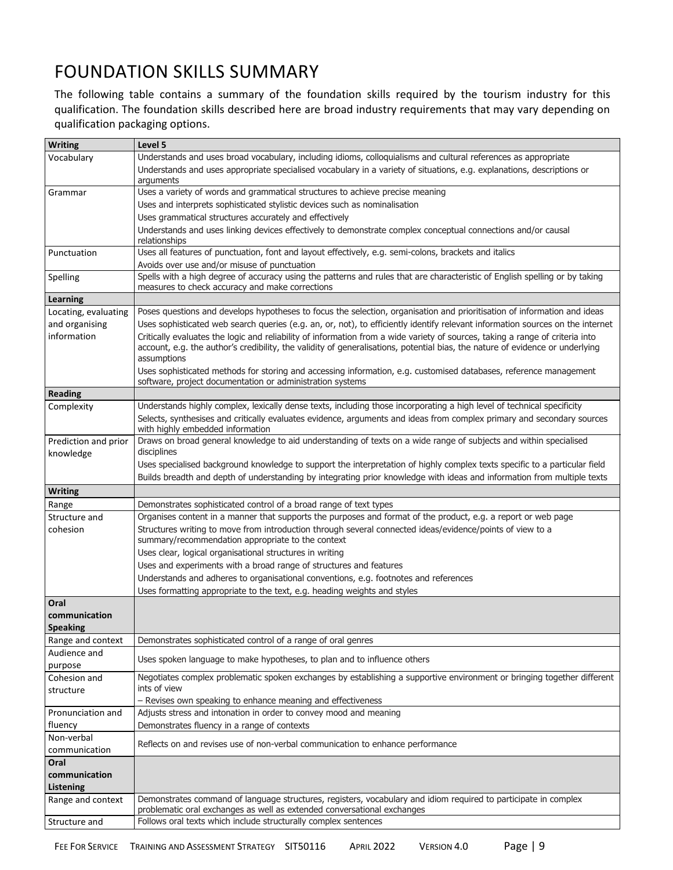## FOUNDATION SKILLS SUMMARY

The following table contains a summary of the foundation skills required by the tourism industry for this qualification. The foundation skills described here are broad industry requirements that may vary depending on qualification packaging options.

| Understands and uses broad vocabulary, including idioms, colloquialisms and cultural references as appropriate<br>Vocabulary<br>Understands and uses appropriate specialised vocabulary in a variety of situations, e.g. explanations, descriptions or<br>arguments<br>Uses a variety of words and grammatical structures to achieve precise meaning<br>Grammar<br>Uses and interprets sophisticated stylistic devices such as nominalisation<br>Uses grammatical structures accurately and effectively<br>Understands and uses linking devices effectively to demonstrate complex conceptual connections and/or causal<br>relationships<br>Uses all features of punctuation, font and layout effectively, e.g. semi-colons, brackets and italics<br>Punctuation<br>Avoids over use and/or misuse of punctuation<br>Spells with a high degree of accuracy using the patterns and rules that are characteristic of English spelling or by taking<br>Spelling<br>measures to check accuracy and make corrections<br><b>Learning</b><br>Poses questions and develops hypotheses to focus the selection, organisation and prioritisation of information and ideas<br>Locating, evaluating<br>Uses sophisticated web search queries (e.g. an, or, not), to efficiently identify relevant information sources on the internet<br>and organising<br>information<br>Critically evaluates the logic and reliability of information from a wide variety of sources, taking a range of criteria into<br>account, e.g. the author's credibility, the validity of generalisations, potential bias, the nature of evidence or underlying<br>assumptions<br>Uses sophisticated methods for storing and accessing information, e.g. customised databases, reference management<br>software, project documentation or administration systems |  |
|-----------------------------------------------------------------------------------------------------------------------------------------------------------------------------------------------------------------------------------------------------------------------------------------------------------------------------------------------------------------------------------------------------------------------------------------------------------------------------------------------------------------------------------------------------------------------------------------------------------------------------------------------------------------------------------------------------------------------------------------------------------------------------------------------------------------------------------------------------------------------------------------------------------------------------------------------------------------------------------------------------------------------------------------------------------------------------------------------------------------------------------------------------------------------------------------------------------------------------------------------------------------------------------------------------------------------------------------------------------------------------------------------------------------------------------------------------------------------------------------------------------------------------------------------------------------------------------------------------------------------------------------------------------------------------------------------------------------------------------------------------------------------------------------------------------------------------|--|
|                                                                                                                                                                                                                                                                                                                                                                                                                                                                                                                                                                                                                                                                                                                                                                                                                                                                                                                                                                                                                                                                                                                                                                                                                                                                                                                                                                                                                                                                                                                                                                                                                                                                                                                                                                                                                             |  |
|                                                                                                                                                                                                                                                                                                                                                                                                                                                                                                                                                                                                                                                                                                                                                                                                                                                                                                                                                                                                                                                                                                                                                                                                                                                                                                                                                                                                                                                                                                                                                                                                                                                                                                                                                                                                                             |  |
|                                                                                                                                                                                                                                                                                                                                                                                                                                                                                                                                                                                                                                                                                                                                                                                                                                                                                                                                                                                                                                                                                                                                                                                                                                                                                                                                                                                                                                                                                                                                                                                                                                                                                                                                                                                                                             |  |
|                                                                                                                                                                                                                                                                                                                                                                                                                                                                                                                                                                                                                                                                                                                                                                                                                                                                                                                                                                                                                                                                                                                                                                                                                                                                                                                                                                                                                                                                                                                                                                                                                                                                                                                                                                                                                             |  |
|                                                                                                                                                                                                                                                                                                                                                                                                                                                                                                                                                                                                                                                                                                                                                                                                                                                                                                                                                                                                                                                                                                                                                                                                                                                                                                                                                                                                                                                                                                                                                                                                                                                                                                                                                                                                                             |  |
|                                                                                                                                                                                                                                                                                                                                                                                                                                                                                                                                                                                                                                                                                                                                                                                                                                                                                                                                                                                                                                                                                                                                                                                                                                                                                                                                                                                                                                                                                                                                                                                                                                                                                                                                                                                                                             |  |
|                                                                                                                                                                                                                                                                                                                                                                                                                                                                                                                                                                                                                                                                                                                                                                                                                                                                                                                                                                                                                                                                                                                                                                                                                                                                                                                                                                                                                                                                                                                                                                                                                                                                                                                                                                                                                             |  |
|                                                                                                                                                                                                                                                                                                                                                                                                                                                                                                                                                                                                                                                                                                                                                                                                                                                                                                                                                                                                                                                                                                                                                                                                                                                                                                                                                                                                                                                                                                                                                                                                                                                                                                                                                                                                                             |  |
|                                                                                                                                                                                                                                                                                                                                                                                                                                                                                                                                                                                                                                                                                                                                                                                                                                                                                                                                                                                                                                                                                                                                                                                                                                                                                                                                                                                                                                                                                                                                                                                                                                                                                                                                                                                                                             |  |
|                                                                                                                                                                                                                                                                                                                                                                                                                                                                                                                                                                                                                                                                                                                                                                                                                                                                                                                                                                                                                                                                                                                                                                                                                                                                                                                                                                                                                                                                                                                                                                                                                                                                                                                                                                                                                             |  |
|                                                                                                                                                                                                                                                                                                                                                                                                                                                                                                                                                                                                                                                                                                                                                                                                                                                                                                                                                                                                                                                                                                                                                                                                                                                                                                                                                                                                                                                                                                                                                                                                                                                                                                                                                                                                                             |  |
|                                                                                                                                                                                                                                                                                                                                                                                                                                                                                                                                                                                                                                                                                                                                                                                                                                                                                                                                                                                                                                                                                                                                                                                                                                                                                                                                                                                                                                                                                                                                                                                                                                                                                                                                                                                                                             |  |
|                                                                                                                                                                                                                                                                                                                                                                                                                                                                                                                                                                                                                                                                                                                                                                                                                                                                                                                                                                                                                                                                                                                                                                                                                                                                                                                                                                                                                                                                                                                                                                                                                                                                                                                                                                                                                             |  |
|                                                                                                                                                                                                                                                                                                                                                                                                                                                                                                                                                                                                                                                                                                                                                                                                                                                                                                                                                                                                                                                                                                                                                                                                                                                                                                                                                                                                                                                                                                                                                                                                                                                                                                                                                                                                                             |  |
| <b>Reading</b>                                                                                                                                                                                                                                                                                                                                                                                                                                                                                                                                                                                                                                                                                                                                                                                                                                                                                                                                                                                                                                                                                                                                                                                                                                                                                                                                                                                                                                                                                                                                                                                                                                                                                                                                                                                                              |  |
| Understands highly complex, lexically dense texts, including those incorporating a high level of technical specificity<br>Complexity                                                                                                                                                                                                                                                                                                                                                                                                                                                                                                                                                                                                                                                                                                                                                                                                                                                                                                                                                                                                                                                                                                                                                                                                                                                                                                                                                                                                                                                                                                                                                                                                                                                                                        |  |
| Selects, synthesises and critically evaluates evidence, arguments and ideas from complex primary and secondary sources<br>with highly embedded information                                                                                                                                                                                                                                                                                                                                                                                                                                                                                                                                                                                                                                                                                                                                                                                                                                                                                                                                                                                                                                                                                                                                                                                                                                                                                                                                                                                                                                                                                                                                                                                                                                                                  |  |
| Draws on broad general knowledge to aid understanding of texts on a wide range of subjects and within specialised<br>Prediction and prior<br>disciplines<br>knowledge                                                                                                                                                                                                                                                                                                                                                                                                                                                                                                                                                                                                                                                                                                                                                                                                                                                                                                                                                                                                                                                                                                                                                                                                                                                                                                                                                                                                                                                                                                                                                                                                                                                       |  |
| Uses specialised background knowledge to support the interpretation of highly complex texts specific to a particular field                                                                                                                                                                                                                                                                                                                                                                                                                                                                                                                                                                                                                                                                                                                                                                                                                                                                                                                                                                                                                                                                                                                                                                                                                                                                                                                                                                                                                                                                                                                                                                                                                                                                                                  |  |
| Builds breadth and depth of understanding by integrating prior knowledge with ideas and information from multiple texts                                                                                                                                                                                                                                                                                                                                                                                                                                                                                                                                                                                                                                                                                                                                                                                                                                                                                                                                                                                                                                                                                                                                                                                                                                                                                                                                                                                                                                                                                                                                                                                                                                                                                                     |  |
| <b>Writing</b>                                                                                                                                                                                                                                                                                                                                                                                                                                                                                                                                                                                                                                                                                                                                                                                                                                                                                                                                                                                                                                                                                                                                                                                                                                                                                                                                                                                                                                                                                                                                                                                                                                                                                                                                                                                                              |  |
| Demonstrates sophisticated control of a broad range of text types<br>Range                                                                                                                                                                                                                                                                                                                                                                                                                                                                                                                                                                                                                                                                                                                                                                                                                                                                                                                                                                                                                                                                                                                                                                                                                                                                                                                                                                                                                                                                                                                                                                                                                                                                                                                                                  |  |
| Organises content in a manner that supports the purposes and format of the product, e.g. a report or web page<br>Structure and                                                                                                                                                                                                                                                                                                                                                                                                                                                                                                                                                                                                                                                                                                                                                                                                                                                                                                                                                                                                                                                                                                                                                                                                                                                                                                                                                                                                                                                                                                                                                                                                                                                                                              |  |
| Structures writing to move from introduction through several connected ideas/evidence/points of view to a<br>cohesion<br>summary/recommendation appropriate to the context                                                                                                                                                                                                                                                                                                                                                                                                                                                                                                                                                                                                                                                                                                                                                                                                                                                                                                                                                                                                                                                                                                                                                                                                                                                                                                                                                                                                                                                                                                                                                                                                                                                  |  |
|                                                                                                                                                                                                                                                                                                                                                                                                                                                                                                                                                                                                                                                                                                                                                                                                                                                                                                                                                                                                                                                                                                                                                                                                                                                                                                                                                                                                                                                                                                                                                                                                                                                                                                                                                                                                                             |  |
| Uses clear, logical organisational structures in writing                                                                                                                                                                                                                                                                                                                                                                                                                                                                                                                                                                                                                                                                                                                                                                                                                                                                                                                                                                                                                                                                                                                                                                                                                                                                                                                                                                                                                                                                                                                                                                                                                                                                                                                                                                    |  |
| Uses and experiments with a broad range of structures and features                                                                                                                                                                                                                                                                                                                                                                                                                                                                                                                                                                                                                                                                                                                                                                                                                                                                                                                                                                                                                                                                                                                                                                                                                                                                                                                                                                                                                                                                                                                                                                                                                                                                                                                                                          |  |
| Understands and adheres to organisational conventions, e.g. footnotes and references                                                                                                                                                                                                                                                                                                                                                                                                                                                                                                                                                                                                                                                                                                                                                                                                                                                                                                                                                                                                                                                                                                                                                                                                                                                                                                                                                                                                                                                                                                                                                                                                                                                                                                                                        |  |
| Uses formatting appropriate to the text, e.g. heading weights and styles                                                                                                                                                                                                                                                                                                                                                                                                                                                                                                                                                                                                                                                                                                                                                                                                                                                                                                                                                                                                                                                                                                                                                                                                                                                                                                                                                                                                                                                                                                                                                                                                                                                                                                                                                    |  |
| Oral                                                                                                                                                                                                                                                                                                                                                                                                                                                                                                                                                                                                                                                                                                                                                                                                                                                                                                                                                                                                                                                                                                                                                                                                                                                                                                                                                                                                                                                                                                                                                                                                                                                                                                                                                                                                                        |  |
| communication                                                                                                                                                                                                                                                                                                                                                                                                                                                                                                                                                                                                                                                                                                                                                                                                                                                                                                                                                                                                                                                                                                                                                                                                                                                                                                                                                                                                                                                                                                                                                                                                                                                                                                                                                                                                               |  |
| <b>Speaking</b>                                                                                                                                                                                                                                                                                                                                                                                                                                                                                                                                                                                                                                                                                                                                                                                                                                                                                                                                                                                                                                                                                                                                                                                                                                                                                                                                                                                                                                                                                                                                                                                                                                                                                                                                                                                                             |  |
| Range and context<br>Demonstrates sophisticated control of a range of oral genres                                                                                                                                                                                                                                                                                                                                                                                                                                                                                                                                                                                                                                                                                                                                                                                                                                                                                                                                                                                                                                                                                                                                                                                                                                                                                                                                                                                                                                                                                                                                                                                                                                                                                                                                           |  |
| Audience and<br>Uses spoken language to make hypotheses, to plan and to influence others<br>purpose                                                                                                                                                                                                                                                                                                                                                                                                                                                                                                                                                                                                                                                                                                                                                                                                                                                                                                                                                                                                                                                                                                                                                                                                                                                                                                                                                                                                                                                                                                                                                                                                                                                                                                                         |  |
| Negotiates complex problematic spoken exchanges by establishing a supportive environment or bringing together different<br>Cohesion and<br>ints of view<br>structure                                                                                                                                                                                                                                                                                                                                                                                                                                                                                                                                                                                                                                                                                                                                                                                                                                                                                                                                                                                                                                                                                                                                                                                                                                                                                                                                                                                                                                                                                                                                                                                                                                                        |  |
| - Revises own speaking to enhance meaning and effectiveness                                                                                                                                                                                                                                                                                                                                                                                                                                                                                                                                                                                                                                                                                                                                                                                                                                                                                                                                                                                                                                                                                                                                                                                                                                                                                                                                                                                                                                                                                                                                                                                                                                                                                                                                                                 |  |
| Adjusts stress and intonation in order to convey mood and meaning<br>Pronunciation and                                                                                                                                                                                                                                                                                                                                                                                                                                                                                                                                                                                                                                                                                                                                                                                                                                                                                                                                                                                                                                                                                                                                                                                                                                                                                                                                                                                                                                                                                                                                                                                                                                                                                                                                      |  |
| Demonstrates fluency in a range of contexts<br>fluency                                                                                                                                                                                                                                                                                                                                                                                                                                                                                                                                                                                                                                                                                                                                                                                                                                                                                                                                                                                                                                                                                                                                                                                                                                                                                                                                                                                                                                                                                                                                                                                                                                                                                                                                                                      |  |
| Non-verbal<br>Reflects on and revises use of non-verbal communication to enhance performance<br>communication                                                                                                                                                                                                                                                                                                                                                                                                                                                                                                                                                                                                                                                                                                                                                                                                                                                                                                                                                                                                                                                                                                                                                                                                                                                                                                                                                                                                                                                                                                                                                                                                                                                                                                               |  |
| Oral                                                                                                                                                                                                                                                                                                                                                                                                                                                                                                                                                                                                                                                                                                                                                                                                                                                                                                                                                                                                                                                                                                                                                                                                                                                                                                                                                                                                                                                                                                                                                                                                                                                                                                                                                                                                                        |  |
| communication                                                                                                                                                                                                                                                                                                                                                                                                                                                                                                                                                                                                                                                                                                                                                                                                                                                                                                                                                                                                                                                                                                                                                                                                                                                                                                                                                                                                                                                                                                                                                                                                                                                                                                                                                                                                               |  |
| Listening                                                                                                                                                                                                                                                                                                                                                                                                                                                                                                                                                                                                                                                                                                                                                                                                                                                                                                                                                                                                                                                                                                                                                                                                                                                                                                                                                                                                                                                                                                                                                                                                                                                                                                                                                                                                                   |  |
| Demonstrates command of language structures, registers, vocabulary and idiom required to participate in complex<br>Range and context<br>problematic oral exchanges as well as extended conversational exchanges                                                                                                                                                                                                                                                                                                                                                                                                                                                                                                                                                                                                                                                                                                                                                                                                                                                                                                                                                                                                                                                                                                                                                                                                                                                                                                                                                                                                                                                                                                                                                                                                             |  |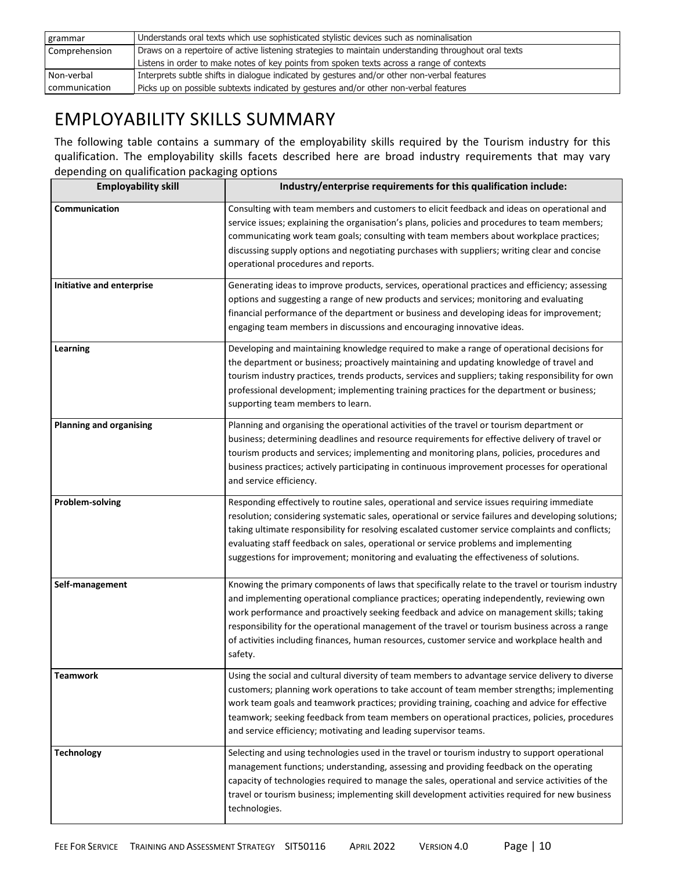| grammar       | Understands oral texts which use sophisticated stylistic devices such as nominalisation              |
|---------------|------------------------------------------------------------------------------------------------------|
| Comprehension | Draws on a repertoire of active listening strategies to maintain understanding throughout oral texts |
|               | Listens in order to make notes of key points from spoken texts across a range of contexts            |
| Non-verbal    | Interprets subtle shifts in dialogue indicated by gestures and/or other non-verbal features          |
| communication | Picks up on possible subtexts indicated by gestures and/or other non-verbal features                 |

## EMPLOYABILITY SKILLS SUMMARY

The following table contains a summary of the employability skills required by the Tourism industry for this qualification. The employability skills facets described here are broad industry requirements that may vary depending on qualification packaging options

| <b>Employability skill</b>     | Industry/enterprise requirements for this qualification include:                                                                                                                                                                                                                                                                                                                                                                                                                                         |  |
|--------------------------------|----------------------------------------------------------------------------------------------------------------------------------------------------------------------------------------------------------------------------------------------------------------------------------------------------------------------------------------------------------------------------------------------------------------------------------------------------------------------------------------------------------|--|
| Communication                  | Consulting with team members and customers to elicit feedback and ideas on operational and<br>service issues; explaining the organisation's plans, policies and procedures to team members;<br>communicating work team goals; consulting with team members about workplace practices;<br>discussing supply options and negotiating purchases with suppliers; writing clear and concise<br>operational procedures and reports.                                                                            |  |
| Initiative and enterprise      | Generating ideas to improve products, services, operational practices and efficiency; assessing<br>options and suggesting a range of new products and services; monitoring and evaluating<br>financial performance of the department or business and developing ideas for improvement;<br>engaging team members in discussions and encouraging innovative ideas.                                                                                                                                         |  |
| Learning                       | Developing and maintaining knowledge required to make a range of operational decisions for<br>the department or business; proactively maintaining and updating knowledge of travel and<br>tourism industry practices, trends products, services and suppliers; taking responsibility for own<br>professional development; implementing training practices for the department or business;<br>supporting team members to learn.                                                                           |  |
| <b>Planning and organising</b> | Planning and organising the operational activities of the travel or tourism department or<br>business; determining deadlines and resource requirements for effective delivery of travel or<br>tourism products and services; implementing and monitoring plans, policies, procedures and<br>business practices; actively participating in continuous improvement processes for operational<br>and service efficiency.                                                                                    |  |
| Problem-solving                | Responding effectively to routine sales, operational and service issues requiring immediate<br>resolution; considering systematic sales, operational or service failures and developing solutions;<br>taking ultimate responsibility for resolving escalated customer service complaints and conflicts;<br>evaluating staff feedback on sales, operational or service problems and implementing<br>suggestions for improvement; monitoring and evaluating the effectiveness of solutions.                |  |
| Self-management                | Knowing the primary components of laws that specifically relate to the travel or tourism industry<br>and implementing operational compliance practices; operating independently, reviewing own<br>work performance and proactively seeking feedback and advice on management skills; taking<br>responsibility for the operational management of the travel or tourism business across a range<br>of activities including finances, human resources, customer service and workplace health and<br>safety. |  |
| Teamwork                       | Using the social and cultural diversity of team members to advantage service delivery to diverse<br>customers; planning work operations to take account of team member strengths; implementing<br>work team goals and teamwork practices; providing training, coaching and advice for effective<br>teamwork; seeking feedback from team members on operational practices, policies, procedures<br>and service efficiency; motivating and leading supervisor teams.                                       |  |
| <b>Technology</b>              | Selecting and using technologies used in the travel or tourism industry to support operational<br>management functions; understanding, assessing and providing feedback on the operating<br>capacity of technologies required to manage the sales, operational and service activities of the<br>travel or tourism business; implementing skill development activities required for new business<br>technologies.                                                                                         |  |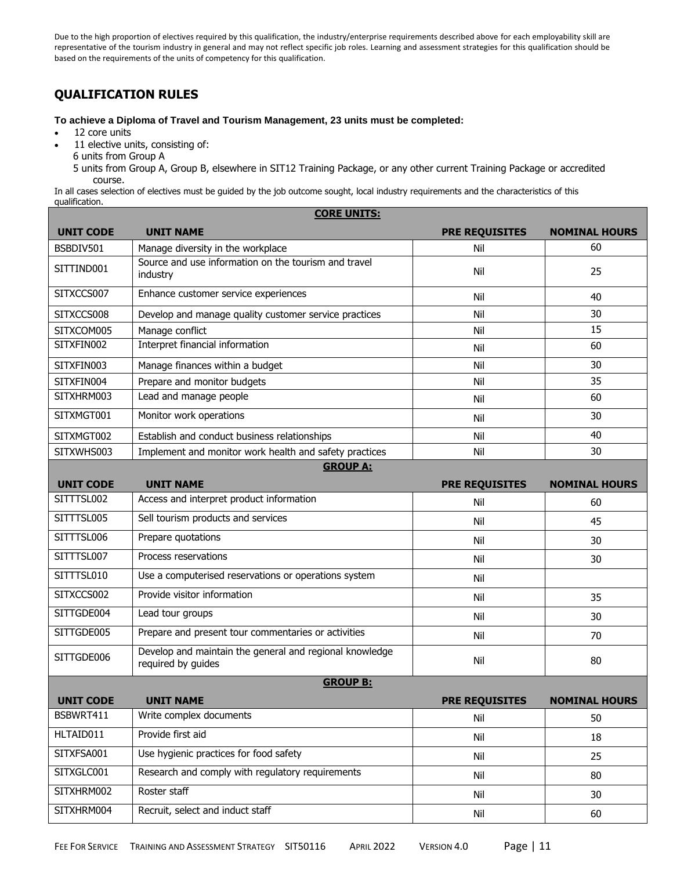Due to the high proportion of electives required by this qualification, the industry/enterprise requirements described above for each employability skill are representative of the tourism industry in general and may not reflect specific job roles. Learning and assessment strategies for this qualification should be based on the requirements of the units of competency for this qualification.

#### **QUALIFICATION RULES**

**To achieve a Diploma of Travel and Tourism Management, 23 units must be completed:**

- 12 core units
- 11 elective units, consisting of:
	- 6 units from Group A

5 units from Group A, Group B, elsewhere in SIT12 Training Package, or any other current Training Package or accredited course.

In all cases selection of electives must be guided by the job outcome sought, local industry requirements and the characteristics of this qualification. **CORE UNITS:**

| <b>UNIT CODE</b> | <u>CURE UNITS.</u><br><b>UNIT NAME</b>                                        | <b>PRE REQUISITES</b> | <b>NOMINAL HOURS</b> |  |  |
|------------------|-------------------------------------------------------------------------------|-----------------------|----------------------|--|--|
| BSBDIV501        | Manage diversity in the workplace                                             | Nil                   | 60                   |  |  |
| SITTIND001       | Source and use information on the tourism and travel<br>industry              | Nil                   | 25                   |  |  |
| SITXCCS007       | Enhance customer service experiences                                          | Nil                   | 40                   |  |  |
| SITXCCS008       | Develop and manage quality customer service practices                         | Nil                   | 30                   |  |  |
| SITXCOM005       | Manage conflict                                                               | Nil                   | 15                   |  |  |
| SITXFIN002       | Interpret financial information                                               | Nil                   | 60                   |  |  |
| SITXFIN003       | Manage finances within a budget                                               | Nil                   | 30                   |  |  |
| SITXFIN004       | Prepare and monitor budgets                                                   | Nil                   | 35                   |  |  |
| SITXHRM003       | Lead and manage people                                                        | Nil                   | 60                   |  |  |
| SITXMGT001       | Monitor work operations                                                       | Nil                   | 30                   |  |  |
| SITXMGT002       | Establish and conduct business relationships                                  | Nil                   | 40                   |  |  |
| SITXWHS003       | Implement and monitor work health and safety practices                        | Nil                   | 30                   |  |  |
| <b>GROUP A:</b>  |                                                                               |                       |                      |  |  |
| <b>UNIT CODE</b> | <b>UNIT NAME</b>                                                              | <b>PRE REQUISITES</b> | <b>NOMINAL HOURS</b> |  |  |
| SITTTSL002       | Access and interpret product information                                      | Nil                   | 60                   |  |  |
| SITTTSL005       | Sell tourism products and services                                            | Nil                   | 45                   |  |  |
| SITTTSL006       | Prepare quotations                                                            | Nil                   | 30                   |  |  |
| SITTTSL007       | Process reservations                                                          | Nil                   | 30                   |  |  |
| SITTTSL010       | Use a computerised reservations or operations system                          | Nil                   |                      |  |  |
| SITXCCS002       | Provide visitor information                                                   | Nil                   | 35                   |  |  |
| SITTGDE004       | Lead tour groups                                                              | Nil                   | 30                   |  |  |
| SITTGDE005       | Prepare and present tour commentaries or activities                           | Nil                   | 70                   |  |  |
| SITTGDE006       | Develop and maintain the general and regional knowledge<br>required by guides | Nil                   | 80                   |  |  |
|                  | <b>GROUP B:</b>                                                               |                       |                      |  |  |
| <b>UNIT CODE</b> | <b>UNIT NAME</b>                                                              | <b>PRE REQUISITES</b> | <b>NOMINAL HOURS</b> |  |  |
| BSBWRT411        | Write complex documents                                                       | Nil                   | 50                   |  |  |
| HLTAID011        | Provide first aid                                                             | Nil                   | 18                   |  |  |
| SITXFSA001       | Use hygienic practices for food safety                                        | Nil                   | 25                   |  |  |
| SITXGLC001       | Research and comply with regulatory requirements                              | Nil                   | 80                   |  |  |
| SITXHRM002       | Roster staff                                                                  | Nil                   | 30                   |  |  |
| SITXHRM004       | Recruit, select and induct staff                                              | Nil                   | 60                   |  |  |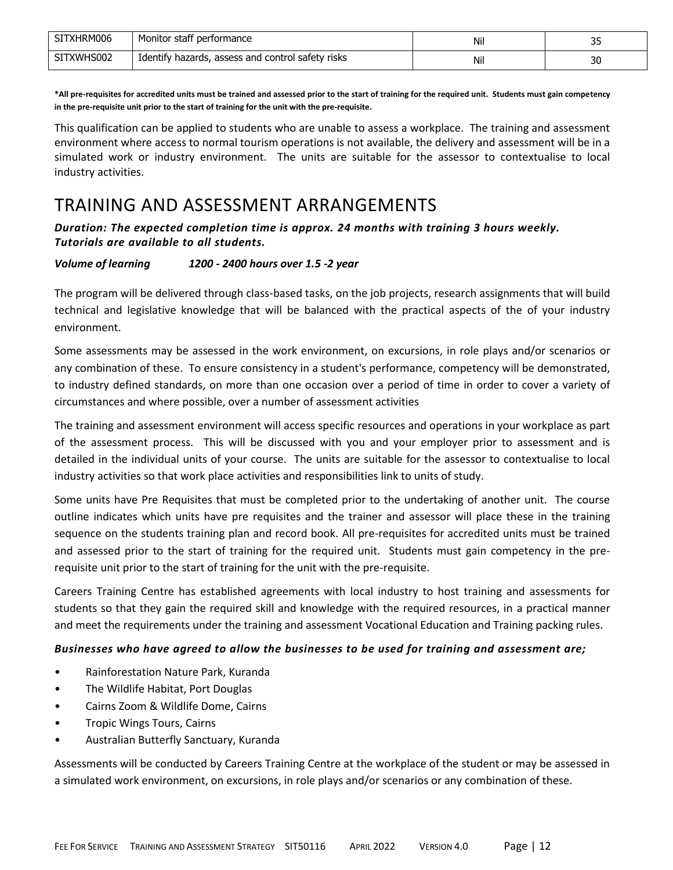| SITXHRM006 | Monitor staff performance                           | Nil | n r<br>-- |
|------------|-----------------------------------------------------|-----|-----------|
| SITXWHS002 | I Identify hazards, assess and control safety risks | Nil | 30        |

**\*All pre-requisites for accredited units must be trained and assessed prior to the start of training for the required unit. Students must gain competency in the pre-requisite unit prior to the start of training for the unit with the pre-requisite.**

This qualification can be applied to students who are unable to assess a workplace. The training and assessment environment where access to normal tourism operations is not available, the delivery and assessment will be in a simulated work or industry environment. The units are suitable for the assessor to contextualise to local industry activities.

## TRAINING AND ASSESSMENT ARRANGEMENTS

*Duration: The expected completion time is approx. 24 months with training 3 hours weekly. Tutorials are available to all students.* 

#### *Volume of learning 1200 - 2400 hours over 1.5 -2 year*

The program will be delivered through class-based tasks, on the job projects, research assignments that will build technical and legislative knowledge that will be balanced with the practical aspects of the of your industry environment.

Some assessments may be assessed in the work environment, on excursions, in role plays and/or scenarios or any combination of these. To ensure consistency in a student's performance, competency will be demonstrated, to industry defined standards, on more than one occasion over a period of time in order to cover a variety of circumstances and where possible, over a number of assessment activities

The training and assessment environment will access specific resources and operations in your workplace as part of the assessment process. This will be discussed with you and your employer prior to assessment and is detailed in the individual units of your course. The units are suitable for the assessor to contextualise to local industry activities so that work place activities and responsibilities link to units of study.

Some units have Pre Requisites that must be completed prior to the undertaking of another unit. The course outline indicates which units have pre requisites and the trainer and assessor will place these in the training sequence on the students training plan and record book. All pre-requisites for accredited units must be trained and assessed prior to the start of training for the required unit. Students must gain competency in the prerequisite unit prior to the start of training for the unit with the pre-requisite.

Careers Training Centre has established agreements with local industry to host training and assessments for students so that they gain the required skill and knowledge with the required resources, in a practical manner and meet the requirements under the training and assessment Vocational Education and Training packing rules.

#### *Businesses who have agreed to allow the businesses to be used for training and assessment are;*

- Rainforestation Nature Park, Kuranda
- The Wildlife Habitat, Port Douglas
- Cairns Zoom & Wildlife Dome, Cairns
- Tropic Wings Tours, Cairns
- Australian Butterfly Sanctuary, Kuranda

Assessments will be conducted by Careers Training Centre at the workplace of the student or may be assessed in a simulated work environment, on excursions, in role plays and/or scenarios or any combination of these.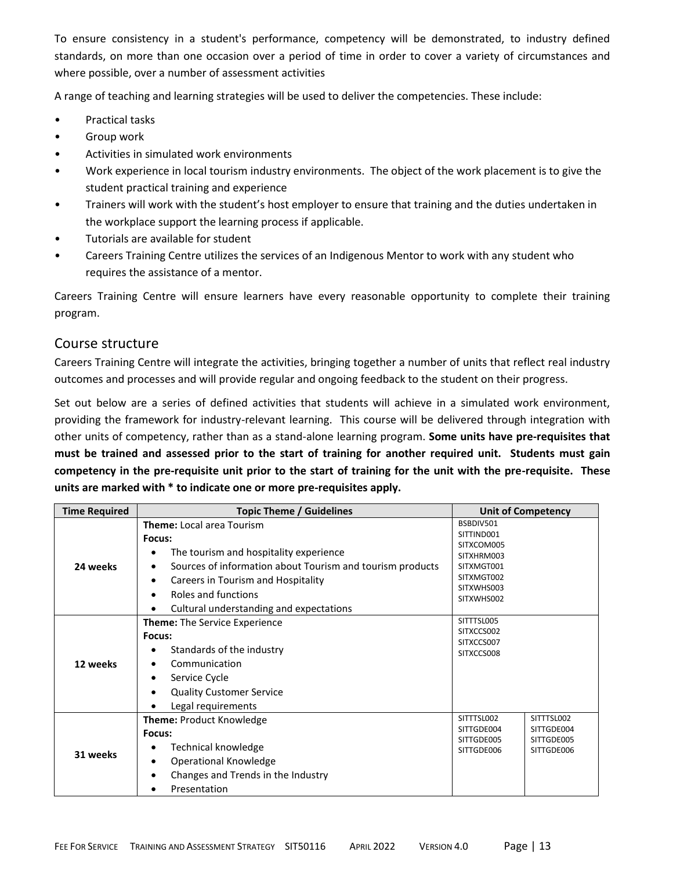To ensure consistency in a student's performance, competency will be demonstrated, to industry defined standards, on more than one occasion over a period of time in order to cover a variety of circumstances and where possible, over a number of assessment activities

A range of teaching and learning strategies will be used to deliver the competencies. These include:

- Practical tasks
- Group work
- Activities in simulated work environments
- Work experience in local tourism industry environments. The object of the work placement is to give the student practical training and experience
- Trainers will work with the student's host employer to ensure that training and the duties undertaken in the workplace support the learning process if applicable.
- Tutorials are available for student
- Careers Training Centre utilizes the services of an Indigenous Mentor to work with any student who requires the assistance of a mentor.

Careers Training Centre will ensure learners have every reasonable opportunity to complete their training program.

#### Course structure

Careers Training Centre will integrate the activities, bringing together a number of units that reflect real industry outcomes and processes and will provide regular and ongoing feedback to the student on their progress.

Set out below are a series of defined activities that students will achieve in a simulated work environment, providing the framework for industry-relevant learning. This course will be delivered through integration with other units of competency, rather than as a stand-alone learning program. **Some units have pre-requisites that must be trained and assessed prior to the start of training for another required unit. Students must gain competency in the pre-requisite unit prior to the start of training for the unit with the pre-requisite. These units are marked with \* to indicate one or more pre-requisites apply.**

| <b>Time Required</b> | <b>Topic Theme / Guidelines</b>                                |                          | <b>Unit of Competency</b> |
|----------------------|----------------------------------------------------------------|--------------------------|---------------------------|
|                      | <b>Theme:</b> Local area Tourism                               | BSBDIV501                |                           |
|                      | Focus:                                                         | SITTIND001               |                           |
|                      | The tourism and hospitality experience                         | SITXCOM005<br>SITXHRM003 |                           |
| 24 weeks             | Sources of information about Tourism and tourism products<br>٠ | SITXMGT001               |                           |
|                      | Careers in Tourism and Hospitality<br>$\bullet$                | SITXMGT002               |                           |
|                      | Roles and functions<br>$\bullet$                               | SITXWHS003               |                           |
|                      |                                                                | SITXWHS002               |                           |
|                      | Cultural understanding and expectations<br>٠                   | SITTTSL005               |                           |
| 12 weeks             | <b>Theme:</b> The Service Experience                           | SITXCCS002               |                           |
|                      | Focus:                                                         | SITXCCS007               |                           |
|                      | Standards of the industry                                      | SITXCCS008               |                           |
|                      | Communication<br>$\bullet$                                     |                          |                           |
|                      | Service Cycle<br>$\bullet$                                     |                          |                           |
|                      | <b>Quality Customer Service</b><br>$\bullet$                   |                          |                           |
|                      | Legal requirements                                             |                          |                           |
|                      | <b>Theme: Product Knowledge</b>                                | SITTTSL002               | SITTTSL002                |
|                      | Focus:                                                         | SITTGDE004               | SITTGDE004                |
|                      | Technical knowledge                                            | SITTGDE005<br>SITTGDE006 | SITTGDE005<br>SITTGDE006  |
| 31 weeks             | Operational Knowledge<br>٠                                     |                          |                           |
|                      | Changes and Trends in the Industry                             |                          |                           |
|                      | Presentation                                                   |                          |                           |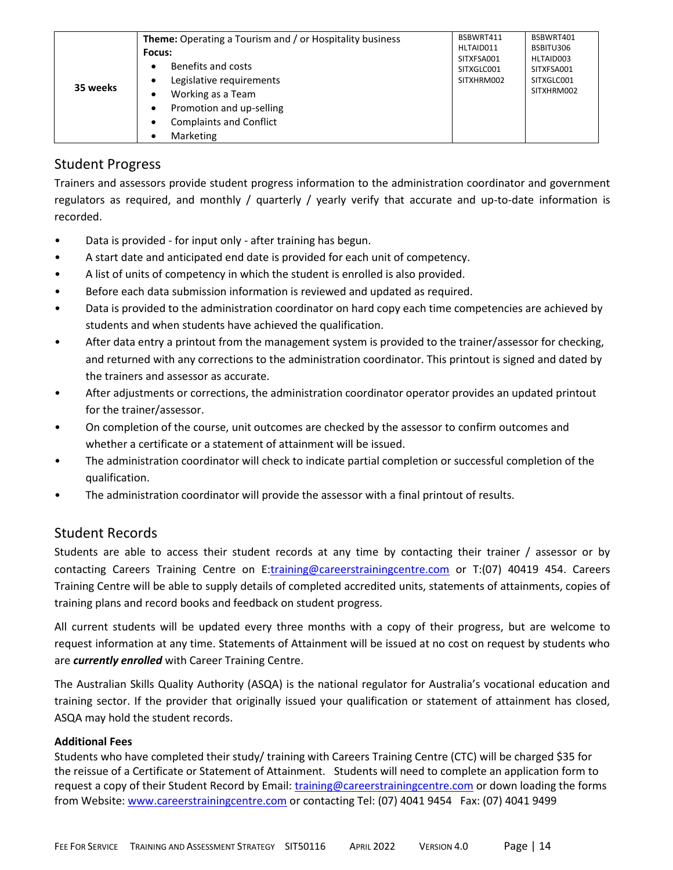| 35 weeks | <b>Theme:</b> Operating a Tourism and / or Hospitality business<br>Focus:<br>Benefits and costs<br>٠<br>Legislative requirements<br>$\bullet$<br>Working as a Team<br>٠<br>Promotion and up-selling<br>٠<br><b>Complaints and Conflict</b><br>$\bullet$<br>Marketing<br>٠ | BSBWRT411<br>HLTAID011<br>SITXFSA001<br>SITXGLC001<br>SITXHRM002 | BSBWRT401<br>BSBITU306<br>HLTAID003<br>SITXFSA001<br>SITXGLC001<br>SITXHRM002 |
|----------|---------------------------------------------------------------------------------------------------------------------------------------------------------------------------------------------------------------------------------------------------------------------------|------------------------------------------------------------------|-------------------------------------------------------------------------------|
|----------|---------------------------------------------------------------------------------------------------------------------------------------------------------------------------------------------------------------------------------------------------------------------------|------------------------------------------------------------------|-------------------------------------------------------------------------------|

## Student Progress

Trainers and assessors provide student progress information to the administration coordinator and government regulators as required, and monthly / quarterly / yearly verify that accurate and up-to-date information is recorded.

- Data is provided for input only after training has begun.
- A start date and anticipated end date is provided for each unit of competency.
- A list of units of competency in which the student is enrolled is also provided.
- Before each data submission information is reviewed and updated as required.
- Data is provided to the administration coordinator on hard copy each time competencies are achieved by students and when students have achieved the qualification.
- After data entry a printout from the management system is provided to the trainer/assessor for checking, and returned with any corrections to the administration coordinator. This printout is signed and dated by the trainers and assessor as accurate.
- After adjustments or corrections, the administration coordinator operator provides an updated printout for the trainer/assessor.
- On completion of the course, unit outcomes are checked by the assessor to confirm outcomes and whether a certificate or a statement of attainment will be issued.
- The administration coordinator will check to indicate partial completion or successful completion of the qualification.
- The administration coordinator will provide the assessor with a final printout of results.

### Student Records

Students are able to access their student records at any time by contacting their trainer / assessor or by contacting Careers Training Centre on E[:training@careerstrainingcentre.com](mailto:training@careerstrainingcentre.com) or T:(07) 40419 454. Careers Training Centre will be able to supply details of completed accredited units, statements of attainments, copies of training plans and record books and feedback on student progress.

All current students will be updated every three months with a copy of their progress, but are welcome to request information at any time. Statements of Attainment will be issued at no cost on request by students who are *currently enrolled* with Career Training Centre.

The Australian Skills Quality Authority (ASQA) is the national regulator for Australia's vocational education and training sector. If the provider that originally issued your qualification or statement of attainment has closed, ASQA may hold the student records.

#### **Additional Fees**

Students who have completed their study/ training with Careers Training Centre (CTC) will be charged \$35 for the reissue of a Certificate or Statement of Attainment. Students will need to complete an application form to request a copy of their Student Record by Email: [training@careerstrainingcentre.com](mailto:training@careerstrainingcentre.com) or down loading the forms from Website: [www.careerstrainingcentre.com](http://www.careerstrainingcentre.com/) or contacting Tel: (07) 4041 9454 Fax: (07) 4041 9499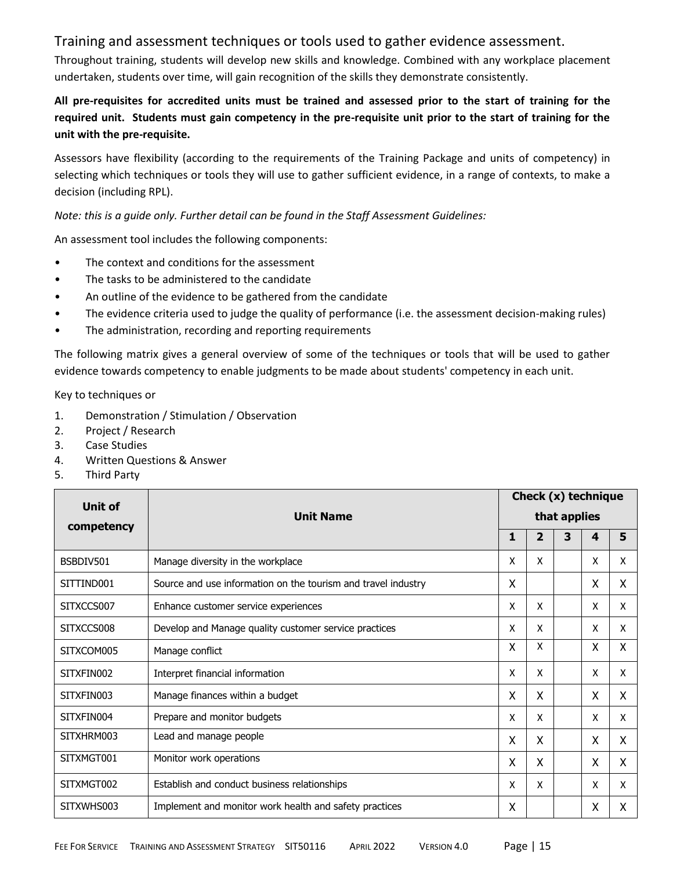### Training and assessment techniques or tools used to gather evidence assessment.

Throughout training, students will develop new skills and knowledge. Combined with any workplace placement undertaken, students over time, will gain recognition of the skills they demonstrate consistently.

#### **All pre-requisites for accredited units must be trained and assessed prior to the start of training for the required unit. Students must gain competency in the pre-requisite unit prior to the start of training for the unit with the pre-requisite.**

Assessors have flexibility (according to the requirements of the Training Package and units of competency) in selecting which techniques or tools they will use to gather sufficient evidence, in a range of contexts, to make a decision (including RPL).

*Note: this is a guide only. Further detail can be found in the Staff Assessment Guidelines:*

An assessment tool includes the following components:

- The context and conditions for the assessment
- The tasks to be administered to the candidate
- An outline of the evidence to be gathered from the candidate
- The evidence criteria used to judge the quality of performance (i.e. the assessment decision-making rules)
- The administration, recording and reporting requirements

The following matrix gives a general overview of some of the techniques or tools that will be used to gather evidence towards competency to enable judgments to be made about students' competency in each unit.

Key to techniques or

- 1. Demonstration / Stimulation / Observation
- 2. Project / Research
- 3. Case Studies
- 4. Written Questions & Answer
- 5. Third Party

| <b>Unit of</b> |                                                               |   |                |              | Check $(x)$ technique |   |
|----------------|---------------------------------------------------------------|---|----------------|--------------|-----------------------|---|
|                | <b>Unit Name</b>                                              |   |                | that applies |                       |   |
| competency     |                                                               | 1 | $\overline{2}$ | 3            | 4                     | 5 |
| BSBDIV501      | Manage diversity in the workplace                             | X | X              |              | X                     | X |
| SITTIND001     | Source and use information on the tourism and travel industry | X |                |              | X                     | X |
| SITXCCS007     | Enhance customer service experiences                          | X | X              |              | x                     | X |
| SITXCCS008     | Develop and Manage quality customer service practices         | X | X              |              | X                     | X |
| SITXCOM005     | Manage conflict                                               | X | X              |              | X                     | X |
| SITXFIN002     | Interpret financial information                               | X | X              |              | Χ                     | X |
| SITXFIN003     | Manage finances within a budget                               | X | X              |              | X                     | X |
| SITXFIN004     | Prepare and monitor budgets                                   | x | X              |              | x                     | X |
| SITXHRM003     | Lead and manage people                                        | X | X              |              | X                     | X |
| SITXMGT001     | Monitor work operations                                       | X | X              |              | X                     | X |
| SITXMGT002     | Establish and conduct business relationships                  | X | X              |              | X                     | X |
| SITXWHS003     | Implement and monitor work health and safety practices        | X |                |              | X                     | X |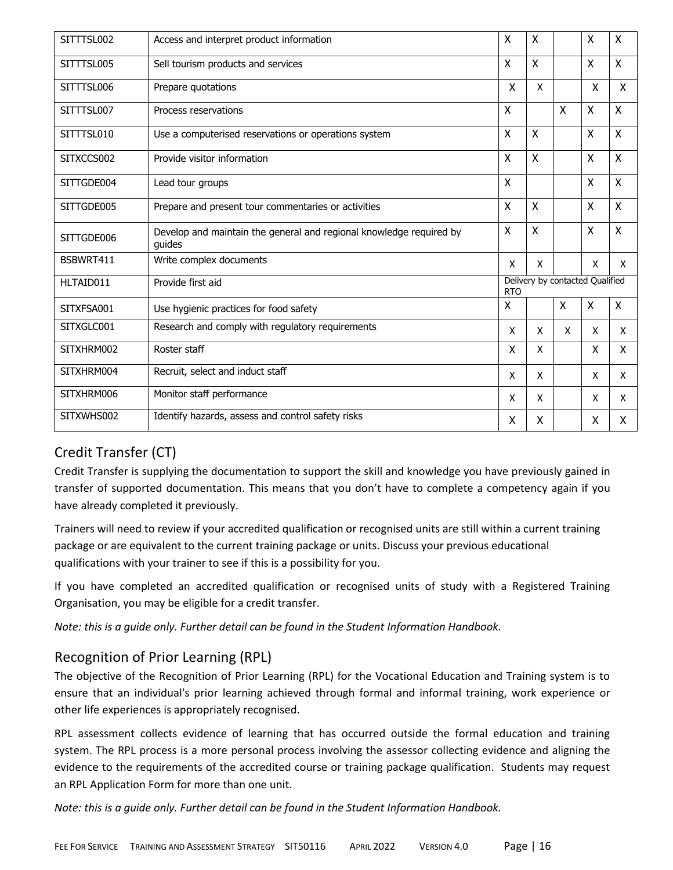| SITTTSL002 | Access and interpret product information                                      | X                                             | X            |              | $\boldsymbol{\mathsf{X}}$ | Χ            |
|------------|-------------------------------------------------------------------------------|-----------------------------------------------|--------------|--------------|---------------------------|--------------|
| SITTTSL005 | Sell tourism products and services                                            | X                                             | X            |              | X                         | X            |
| SITTTSL006 | Prepare quotations                                                            | $\mathsf{x}$                                  | X            |              | X                         | X            |
| SITTTSL007 | Process reservations                                                          | $\mathsf{X}$                                  |              | $\mathsf{x}$ | X                         | Χ            |
| SITTTSL010 | Use a computerised reservations or operations system                          | $\mathsf{x}$                                  | $\mathsf{x}$ |              | X                         | X            |
| SITXCCS002 | Provide visitor information                                                   | $\pmb{\mathsf{X}}$                            | $\sf X$      |              | X                         | X            |
| SITTGDE004 | Lead tour groups                                                              | X                                             |              |              | X                         | X            |
| SITTGDE005 | Prepare and present tour commentaries or activities                           | $\mathsf{X}$                                  | $\sf X$      |              | X                         | X            |
| SITTGDE006 | Develop and maintain the general and regional knowledge required by<br>quides | X                                             | $\mathsf{x}$ |              | X                         | X            |
| BSBWRT411  | Write complex documents                                                       | X                                             | X            |              | X                         | X            |
| HLTAID011  | Provide first aid                                                             | Delivery by contacted Qualified<br><b>RTO</b> |              |              |                           |              |
| SITXFSA001 | Use hygienic practices for food safety                                        | X                                             |              | X            | X                         | Χ            |
| SITXGLC001 | Research and comply with regulatory requirements                              | X                                             | X            | $\mathsf{x}$ | X                         | $\mathsf{x}$ |
| SITXHRM002 | Roster staff                                                                  | X                                             | X            |              | X                         | X            |
| SITXHRM004 | Recruit, select and induct staff                                              | X                                             | X            |              | X                         | X            |
| SITXHRM006 | Monitor staff performance                                                     | X                                             | X            |              | X                         | X            |
| SITXWHS002 | Identify hazards, assess and control safety risks                             | X                                             | X            |              | X                         | X            |

## Credit Transfer (CT)

Credit Transfer is supplying the documentation to support the skill and knowledge you have previously gained in transfer of supported documentation. This means that you don't have to complete a competency again if you have already completed it previously.

Trainers will need to review if your accredited qualification or recognised units are still within a current training package or are equivalent to the current training package or units. Discuss your previous educational qualifications with your trainer to see if this is a possibility for you.

If you have completed an accredited qualification or recognised units of study with a Registered Training Organisation, you may be eligible for a credit transfer.

*Note: this is a guide only. Further detail can be found in the Student Information Handbook.*

## Recognition of Prior Learning (RPL)

The objective of the Recognition of Prior Learning (RPL) for the Vocational Education and Training system is to ensure that an individual's prior learning achieved through formal and informal training, work experience or other life experiences is appropriately recognised.

RPL assessment collects evidence of learning that has occurred outside the formal education and training system. The RPL process is a more personal process involving the assessor collecting evidence and aligning the evidence to the requirements of the accredited course or training package qualification. Students may request an RPL Application Form for more than one unit.

*Note: this is a guide only. Further detail can be found in the Student Information Handbook.*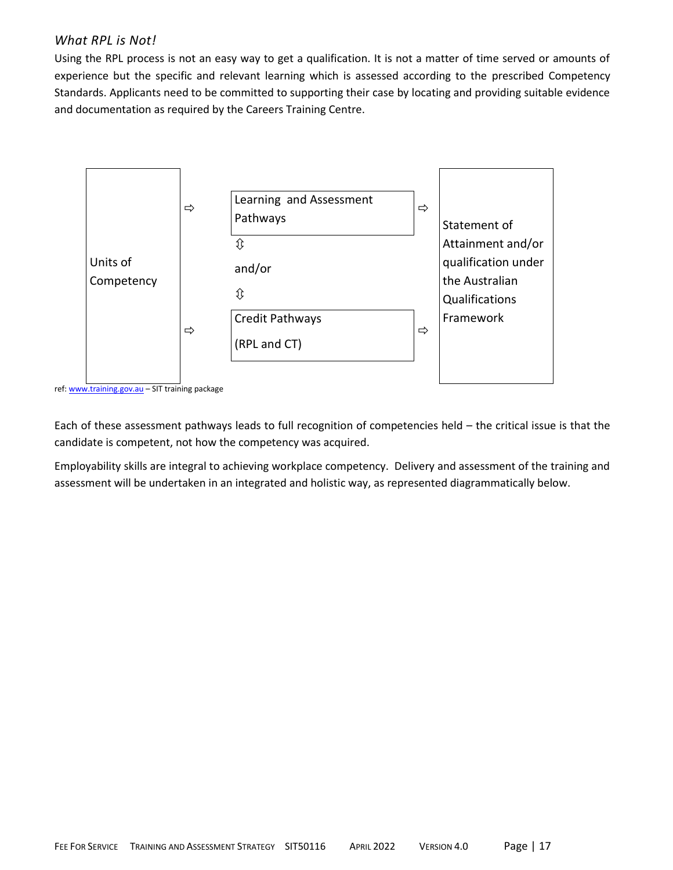#### *What RPL is Not!*

Using the RPL process is not an easy way to get a qualification. It is not a matter of time served or amounts of experience but the specific and relevant learning which is assessed according to the prescribed Competency Standards. Applicants need to be committed to supporting their case by locating and providing suitable evidence and documentation as required by the Careers Training Centre.



ref: [www.training.gov.au](http://www.training.gov.au/) – SIT training package

Each of these assessment pathways leads to full recognition of competencies held – the critical issue is that the candidate is competent, not how the competency was acquired.

Employability skills are integral to achieving workplace competency. Delivery and assessment of the training and assessment will be undertaken in an integrated and holistic way, as represented diagrammatically below.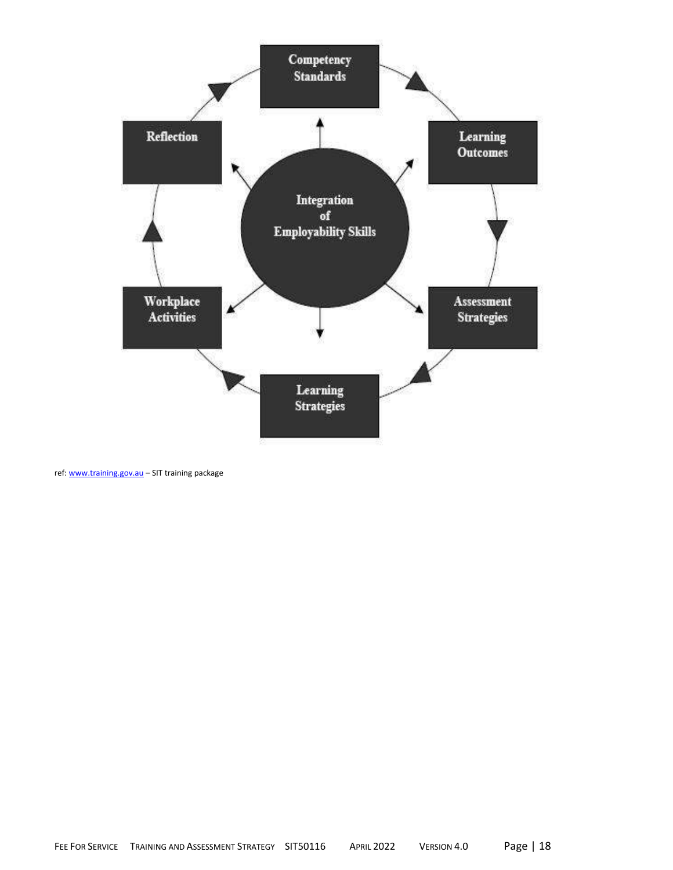

ref: [www.training.gov.au](http://www.training.gov.au/) – SIT training package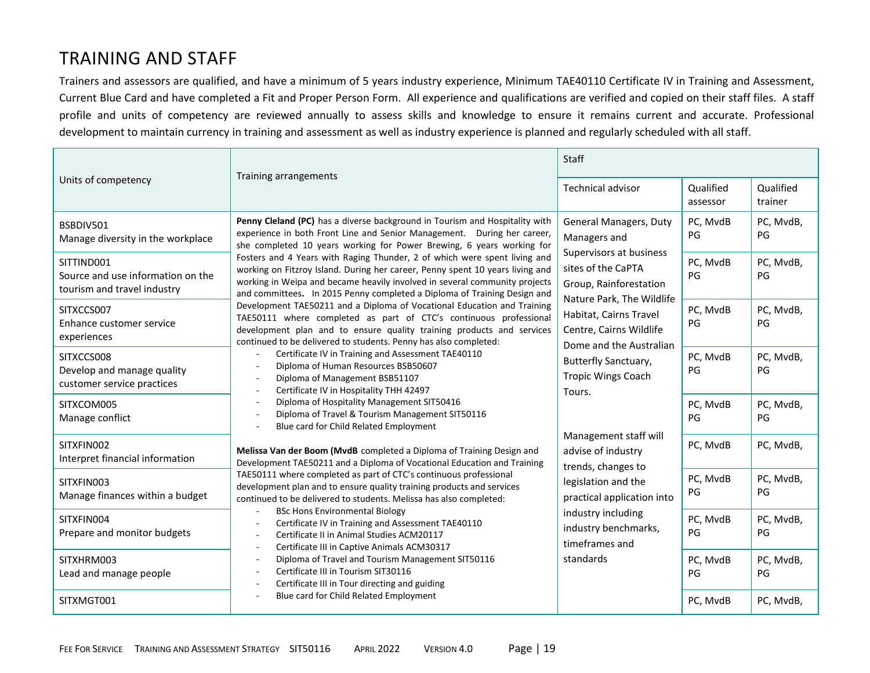## TRAINING AND STAFF

Trainers and assessors are qualified, and have a minimum of 5 years industry experience, Minimum TAE40110 Certificate IV in Training and Assessment, Current Blue Card and have completed a Fit and Proper Person Form. All experience and qualifications are verified and copied on their staff files. A staff profile and units of competency are reviewed annually to assess skills and knowledge to ensure it remains current and accurate. Professional development to maintain currency in training and assessment as well as industry experience is planned and regularly scheduled with all staff.

|                                                                                | Training arrangements                                                                                                                                                                                                                                                                                                                                                                                                                                                                                                                                                                                                                                                                                                                                                                                                                                                                                                                                                                                                                                                                                                                                                                                                                                                                                                                                                                                                                                                                                                                                                                                                                                                                            | Staff                                                                                                                                                                                                                                                                                                                                                                                                                                                             |                       |                      |  |
|--------------------------------------------------------------------------------|--------------------------------------------------------------------------------------------------------------------------------------------------------------------------------------------------------------------------------------------------------------------------------------------------------------------------------------------------------------------------------------------------------------------------------------------------------------------------------------------------------------------------------------------------------------------------------------------------------------------------------------------------------------------------------------------------------------------------------------------------------------------------------------------------------------------------------------------------------------------------------------------------------------------------------------------------------------------------------------------------------------------------------------------------------------------------------------------------------------------------------------------------------------------------------------------------------------------------------------------------------------------------------------------------------------------------------------------------------------------------------------------------------------------------------------------------------------------------------------------------------------------------------------------------------------------------------------------------------------------------------------------------------------------------------------------------|-------------------------------------------------------------------------------------------------------------------------------------------------------------------------------------------------------------------------------------------------------------------------------------------------------------------------------------------------------------------------------------------------------------------------------------------------------------------|-----------------------|----------------------|--|
| Units of competency                                                            |                                                                                                                                                                                                                                                                                                                                                                                                                                                                                                                                                                                                                                                                                                                                                                                                                                                                                                                                                                                                                                                                                                                                                                                                                                                                                                                                                                                                                                                                                                                                                                                                                                                                                                  | <b>Technical advisor</b>                                                                                                                                                                                                                                                                                                                                                                                                                                          | Qualified<br>assessor | Qualified<br>trainer |  |
| BSBDIV501<br>Manage diversity in the workplace                                 | Penny Cleland (PC) has a diverse background in Tourism and Hospitality with<br>experience in both Front Line and Senior Management. During her career,<br>she completed 10 years working for Power Brewing, 6 years working for                                                                                                                                                                                                                                                                                                                                                                                                                                                                                                                                                                                                                                                                                                                                                                                                                                                                                                                                                                                                                                                                                                                                                                                                                                                                                                                                                                                                                                                                  | General Managers, Duty<br>Managers and                                                                                                                                                                                                                                                                                                                                                                                                                            | PC, MvdB<br>PG        | PC, MvdB,<br>PG      |  |
| SITTIND001<br>Source and use information on the<br>tourism and travel industry | Fosters and 4 Years with Raging Thunder, 2 of which were spent living and<br>working on Fitzroy Island. During her career, Penny spent 10 years living and<br>working in Weipa and became heavily involved in several community projects<br>and committees. In 2015 Penny completed a Diploma of Training Design and<br>Development TAE50211 and a Diploma of Vocational Education and Training<br>TAE50111 where completed as part of CTC's continuous professional<br>development plan and to ensure quality training products and services<br>continued to be delivered to students. Penny has also completed:<br>Certificate IV in Training and Assessment TAE40110<br>Diploma of Human Resources BSB50607<br>Diploma of Management BSB51107<br>Certificate IV in Hospitality THH 42497<br>Diploma of Hospitality Management SIT50416<br>Diploma of Travel & Tourism Management SIT50116<br>Blue card for Child Related Employment<br>Melissa Van der Boom (MvdB completed a Diploma of Training Design and<br>Development TAE50211 and a Diploma of Vocational Education and Training<br>TAE50111 where completed as part of CTC's continuous professional<br>development plan and to ensure quality training products and services<br>continued to be delivered to students. Melissa has also completed:<br><b>BSc Hons Environmental Biology</b><br>Certificate IV in Training and Assessment TAE40110<br>Certificate II in Animal Studies ACM20117<br>Certificate III in Captive Animals ACM30317<br>Diploma of Travel and Tourism Management SIT50116<br>Certificate III in Tourism SIT30116<br>Certificate III in Tour directing and guiding<br>Blue card for Child Related Employment | Supervisors at business<br>sites of the CaPTA<br>Group, Rainforestation<br>Nature Park, The Wildlife<br>Habitat, Cairns Travel<br>Centre, Cairns Wildlife<br>Dome and the Australian<br><b>Butterfly Sanctuary,</b><br><b>Tropic Wings Coach</b><br>Tours.<br>Management staff will<br>advise of industry<br>trends, changes to<br>legislation and the<br>practical application into<br>industry including<br>industry benchmarks,<br>timeframes and<br>standards | PC, MvdB<br>PG        | PC, MvdB,<br>PG      |  |
| SITXCCS007<br>Enhance customer service<br>experiences                          |                                                                                                                                                                                                                                                                                                                                                                                                                                                                                                                                                                                                                                                                                                                                                                                                                                                                                                                                                                                                                                                                                                                                                                                                                                                                                                                                                                                                                                                                                                                                                                                                                                                                                                  |                                                                                                                                                                                                                                                                                                                                                                                                                                                                   | PC, MvdB<br>PG        | PC, MvdB,<br>PG      |  |
| SITXCCS008<br>Develop and manage quality<br>customer service practices         |                                                                                                                                                                                                                                                                                                                                                                                                                                                                                                                                                                                                                                                                                                                                                                                                                                                                                                                                                                                                                                                                                                                                                                                                                                                                                                                                                                                                                                                                                                                                                                                                                                                                                                  |                                                                                                                                                                                                                                                                                                                                                                                                                                                                   | PC, MvdB<br>PG        | PC, MvdB,<br>PG      |  |
| SITXCOM005<br>Manage conflict                                                  |                                                                                                                                                                                                                                                                                                                                                                                                                                                                                                                                                                                                                                                                                                                                                                                                                                                                                                                                                                                                                                                                                                                                                                                                                                                                                                                                                                                                                                                                                                                                                                                                                                                                                                  |                                                                                                                                                                                                                                                                                                                                                                                                                                                                   | PC, MvdB<br>PG        | PC, MvdB,<br>PG      |  |
| SITXFIN002<br>Interpret financial information                                  |                                                                                                                                                                                                                                                                                                                                                                                                                                                                                                                                                                                                                                                                                                                                                                                                                                                                                                                                                                                                                                                                                                                                                                                                                                                                                                                                                                                                                                                                                                                                                                                                                                                                                                  |                                                                                                                                                                                                                                                                                                                                                                                                                                                                   | PC, MvdB              | PC, MvdB,            |  |
| SITXFIN003<br>Manage finances within a budget                                  |                                                                                                                                                                                                                                                                                                                                                                                                                                                                                                                                                                                                                                                                                                                                                                                                                                                                                                                                                                                                                                                                                                                                                                                                                                                                                                                                                                                                                                                                                                                                                                                                                                                                                                  |                                                                                                                                                                                                                                                                                                                                                                                                                                                                   | PC, MvdB<br>PG        | PC, MvdB,<br>PG      |  |
| SITXFIN004<br>Prepare and monitor budgets                                      |                                                                                                                                                                                                                                                                                                                                                                                                                                                                                                                                                                                                                                                                                                                                                                                                                                                                                                                                                                                                                                                                                                                                                                                                                                                                                                                                                                                                                                                                                                                                                                                                                                                                                                  |                                                                                                                                                                                                                                                                                                                                                                                                                                                                   | PC, MvdB<br>PG        | PC, MvdB,<br>PG      |  |
| SITXHRM003<br>Lead and manage people                                           |                                                                                                                                                                                                                                                                                                                                                                                                                                                                                                                                                                                                                                                                                                                                                                                                                                                                                                                                                                                                                                                                                                                                                                                                                                                                                                                                                                                                                                                                                                                                                                                                                                                                                                  |                                                                                                                                                                                                                                                                                                                                                                                                                                                                   | PC, MvdB<br>PG        | PC, MvdB,<br>PG      |  |
| SITXMGT001                                                                     |                                                                                                                                                                                                                                                                                                                                                                                                                                                                                                                                                                                                                                                                                                                                                                                                                                                                                                                                                                                                                                                                                                                                                                                                                                                                                                                                                                                                                                                                                                                                                                                                                                                                                                  |                                                                                                                                                                                                                                                                                                                                                                                                                                                                   | PC, MvdB              | PC, MvdB,            |  |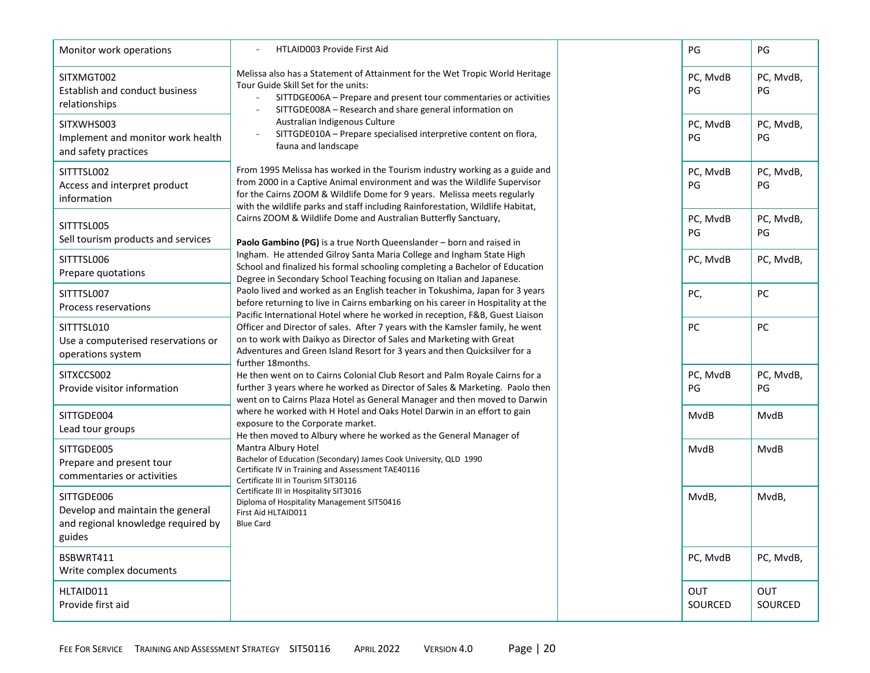| Monitor work operations                                                                        | HTLAID003 Provide First Aid                                                                                                                                                                                                                                                                                                                                                                                                                                                                                                                                                                                                                                                                                                                                                                                                                                                                                                                                                                                                                                                                                                                                                                                                                                                                                                                                                                                                                                                                               |                                                                                | PG                    | PG                    |
|------------------------------------------------------------------------------------------------|-----------------------------------------------------------------------------------------------------------------------------------------------------------------------------------------------------------------------------------------------------------------------------------------------------------------------------------------------------------------------------------------------------------------------------------------------------------------------------------------------------------------------------------------------------------------------------------------------------------------------------------------------------------------------------------------------------------------------------------------------------------------------------------------------------------------------------------------------------------------------------------------------------------------------------------------------------------------------------------------------------------------------------------------------------------------------------------------------------------------------------------------------------------------------------------------------------------------------------------------------------------------------------------------------------------------------------------------------------------------------------------------------------------------------------------------------------------------------------------------------------------|--------------------------------------------------------------------------------|-----------------------|-----------------------|
| SITXMGT002<br>Establish and conduct business<br>relationships                                  | Melissa also has a Statement of Attainment for the Wet Tropic World Heritage<br>Tour Guide Skill Set for the units:<br>SITTDGE006A - Prepare and present tour commentaries or activities                                                                                                                                                                                                                                                                                                                                                                                                                                                                                                                                                                                                                                                                                                                                                                                                                                                                                                                                                                                                                                                                                                                                                                                                                                                                                                                  | PG<br>SITTGDE008A - Research and share general information on                  | PC, MvdB              | PC, MvdB,<br>PG       |
| SITXWHS003<br>Implement and monitor work health<br>and safety practices                        | Australian Indigenous Culture<br>SITTGDE010A - Prepare specialised interpretive content on flora,<br>fauna and landscape                                                                                                                                                                                                                                                                                                                                                                                                                                                                                                                                                                                                                                                                                                                                                                                                                                                                                                                                                                                                                                                                                                                                                                                                                                                                                                                                                                                  |                                                                                | PC, MvdB<br>PG        | PC, MvdB,<br>PG       |
| SITTTSL002<br>Access and interpret product<br>information                                      | From 1995 Melissa has worked in the Tourism industry working as a guide and<br>from 2000 in a Captive Animal environment and was the Wildlife Supervisor<br>for the Cairns ZOOM & Wildlife Dome for 9 years. Melissa meets regularly                                                                                                                                                                                                                                                                                                                                                                                                                                                                                                                                                                                                                                                                                                                                                                                                                                                                                                                                                                                                                                                                                                                                                                                                                                                                      | with the wildlife parks and staff including Rainforestation, Wildlife Habitat, | PC, MvdB<br>PG        | PC, MvdB,<br>PG       |
| SITTTSL005<br>Sell tourism products and services                                               | Cairns ZOOM & Wildlife Dome and Australian Butterfly Sanctuary,<br>Paolo Gambino (PG) is a true North Queenslander - born and raised in                                                                                                                                                                                                                                                                                                                                                                                                                                                                                                                                                                                                                                                                                                                                                                                                                                                                                                                                                                                                                                                                                                                                                                                                                                                                                                                                                                   |                                                                                | PC, MvdB<br>PG        | PC, MvdB,<br>PG       |
| SITTTSL006<br>Prepare quotations                                                               | Ingham. He attended Gilroy Santa Maria College and Ingham State High<br>School and finalized his formal schooling completing a Bachelor of Education<br>Degree in Secondary School Teaching focusing on Italian and Japanese.<br>Paolo lived and worked as an English teacher in Tokushima, Japan for 3 years<br>before returning to live in Cairns embarking on his career in Hospitality at the<br>Pacific International Hotel where he worked in reception, F&B, Guest Liaison<br>Officer and Director of sales. After 7 years with the Kamsler family, he went<br>on to work with Daikyo as Director of Sales and Marketing with Great<br>Adventures and Green Island Resort for 3 years and then Quicksilver for a<br>further 18months.<br>He then went on to Cairns Colonial Club Resort and Palm Royale Cairns for a<br>further 3 years where he worked as Director of Sales & Marketing. Paolo then<br>went on to Cairns Plaza Hotel as General Manager and then moved to Darwin<br>where he worked with H Hotel and Oaks Hotel Darwin in an effort to gain<br>exposure to the Corporate market.<br>He then moved to Albury where he worked as the General Manager of<br>Mantra Albury Hotel<br>Bachelor of Education (Secondary) James Cook University, QLD 1990<br>Certificate IV in Training and Assessment TAE40116<br>Certificate III in Tourism SIT30116<br>Certificate III in Hospitality SIT3016<br>Diploma of Hospitality Management SIT50416<br>First Aid HLTAID011<br><b>Blue Card</b> |                                                                                | PC, MvdB              | PC, MvdB,             |
| SITTTSL007<br>Process reservations                                                             |                                                                                                                                                                                                                                                                                                                                                                                                                                                                                                                                                                                                                                                                                                                                                                                                                                                                                                                                                                                                                                                                                                                                                                                                                                                                                                                                                                                                                                                                                                           | PC,                                                                            | PC                    |                       |
| SITTTSL010<br>Use a computerised reservations or<br>operations system                          |                                                                                                                                                                                                                                                                                                                                                                                                                                                                                                                                                                                                                                                                                                                                                                                                                                                                                                                                                                                                                                                                                                                                                                                                                                                                                                                                                                                                                                                                                                           |                                                                                | PC                    | PC                    |
| SITXCCS002<br>Provide visitor information                                                      |                                                                                                                                                                                                                                                                                                                                                                                                                                                                                                                                                                                                                                                                                                                                                                                                                                                                                                                                                                                                                                                                                                                                                                                                                                                                                                                                                                                                                                                                                                           |                                                                                | PC, MvdB<br>PG        | PC, MvdB,<br>PG       |
| SITTGDE004<br>Lead tour groups                                                                 |                                                                                                                                                                                                                                                                                                                                                                                                                                                                                                                                                                                                                                                                                                                                                                                                                                                                                                                                                                                                                                                                                                                                                                                                                                                                                                                                                                                                                                                                                                           |                                                                                | MvdB                  | MvdB                  |
| SITTGDE005<br>Prepare and present tour<br>commentaries or activities                           |                                                                                                                                                                                                                                                                                                                                                                                                                                                                                                                                                                                                                                                                                                                                                                                                                                                                                                                                                                                                                                                                                                                                                                                                                                                                                                                                                                                                                                                                                                           | MvdB                                                                           | <b>MvdB</b>           |                       |
| SITTGDE006<br>Develop and maintain the general<br>and regional knowledge required by<br>guides |                                                                                                                                                                                                                                                                                                                                                                                                                                                                                                                                                                                                                                                                                                                                                                                                                                                                                                                                                                                                                                                                                                                                                                                                                                                                                                                                                                                                                                                                                                           |                                                                                | MvdB,                 | MvdB,                 |
| BSBWRT411<br>Write complex documents                                                           |                                                                                                                                                                                                                                                                                                                                                                                                                                                                                                                                                                                                                                                                                                                                                                                                                                                                                                                                                                                                                                                                                                                                                                                                                                                                                                                                                                                                                                                                                                           |                                                                                | PC, MvdB              | PC, MvdB,             |
| HLTAID011<br>Provide first aid                                                                 |                                                                                                                                                                                                                                                                                                                                                                                                                                                                                                                                                                                                                                                                                                                                                                                                                                                                                                                                                                                                                                                                                                                                                                                                                                                                                                                                                                                                                                                                                                           |                                                                                | <b>OUT</b><br>SOURCED | <b>OUT</b><br>SOURCED |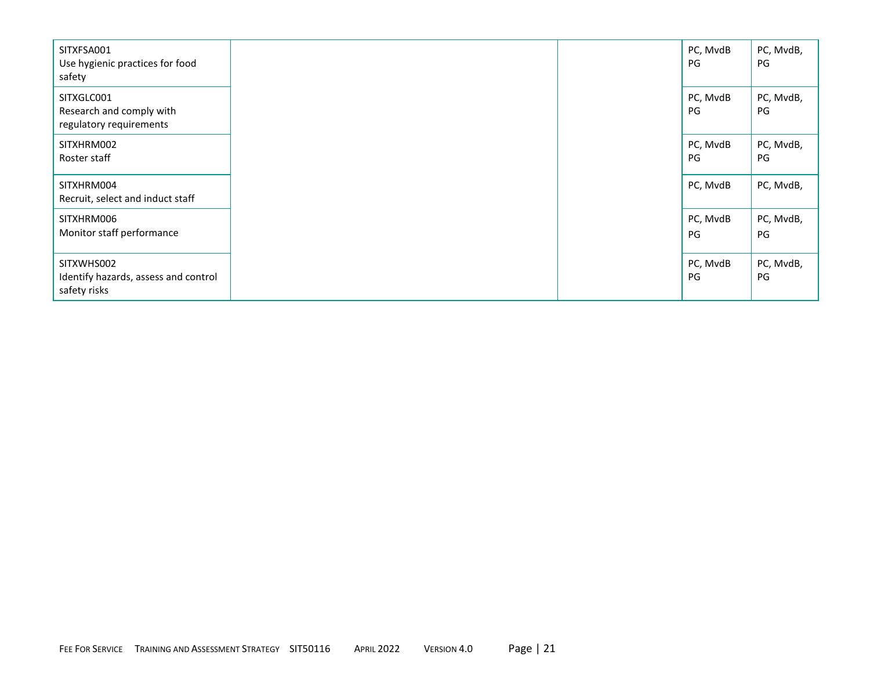| SITXFSA001<br>Use hygienic practices for food<br>safety            |  | PC, MvdB<br>PG | PC, MvdB,<br>PG |
|--------------------------------------------------------------------|--|----------------|-----------------|
| SITXGLC001<br>Research and comply with<br>regulatory requirements  |  | PC, MvdB<br>PG | PC, MvdB,<br>PG |
| SITXHRM002<br>Roster staff                                         |  | PC, MvdB<br>PG | PC, MvdB,<br>PG |
| SITXHRM004<br>Recruit, select and induct staff                     |  | PC, MvdB       | PC, MvdB,       |
| SITXHRM006<br>Monitor staff performance                            |  | PC, MvdB<br>PG | PC, MvdB,<br>PG |
| SITXWHS002<br>Identify hazards, assess and control<br>safety risks |  | PC, MvdB<br>PG | PC, MvdB,<br>PG |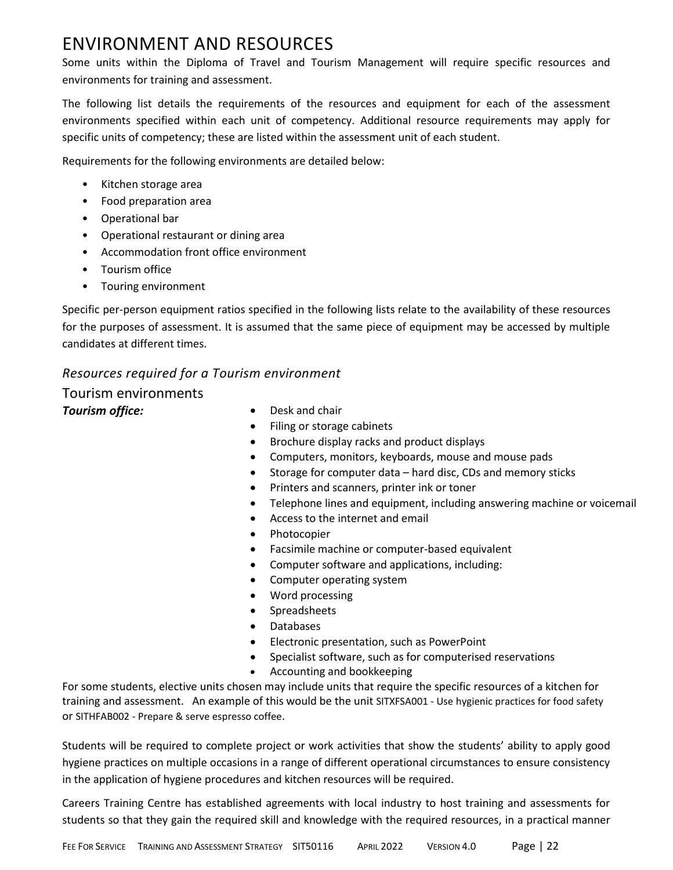## ENVIRONMENT AND RESOURCES

Some units within the Diploma of Travel and Tourism Management will require specific resources and environments for training and assessment.

The following list details the requirements of the resources and equipment for each of the assessment environments specified within each unit of competency. Additional resource requirements may apply for specific units of competency; these are listed within the assessment unit of each student.

Requirements for the following environments are detailed below:

- Kitchen storage area
- Food preparation area
- Operational bar
- Operational restaurant or dining area
- Accommodation front office environment
- Tourism office
- Touring environment

Specific per-person equipment ratios specified in the following lists relate to the availability of these resources for the purposes of assessment. It is assumed that the same piece of equipment may be accessed by multiple candidates at different times.

#### *Resources required for a Tourism environment*

### Tourism environments

- **Tourism office: •** Desk and chair
	- Filing or storage cabinets
	- Brochure display racks and product displays
	- Computers, monitors, keyboards, mouse and mouse pads
	- Storage for computer data hard disc, CDs and memory sticks
	- Printers and scanners, printer ink or toner
	- Telephone lines and equipment, including answering machine or voicemail
	- Access to the internet and email
	- Photocopier
	- Facsimile machine or computer-based equivalent
	- Computer software and applications, including:
	- Computer operating system
	- Word processing
	- Spreadsheets
	- Databases
	- Electronic presentation, such as PowerPoint
	- Specialist software, such as for computerised reservations
	- Accounting and bookkeeping

For some students, elective units chosen may include units that require the specific resources of a kitchen for training and assessment. An example of this would be the unit SITXFSA001 - Use hygienic practices for food safety or SITHFAB002 - Prepare & serve espresso coffee.

Students will be required to complete project or work activities that show the students' ability to apply good hygiene practices on multiple occasions in a range of different operational circumstances to ensure consistency in the application of hygiene procedures and kitchen resources will be required.

Careers Training Centre has established agreements with local industry to host training and assessments for students so that they gain the required skill and knowledge with the required resources, in a practical manner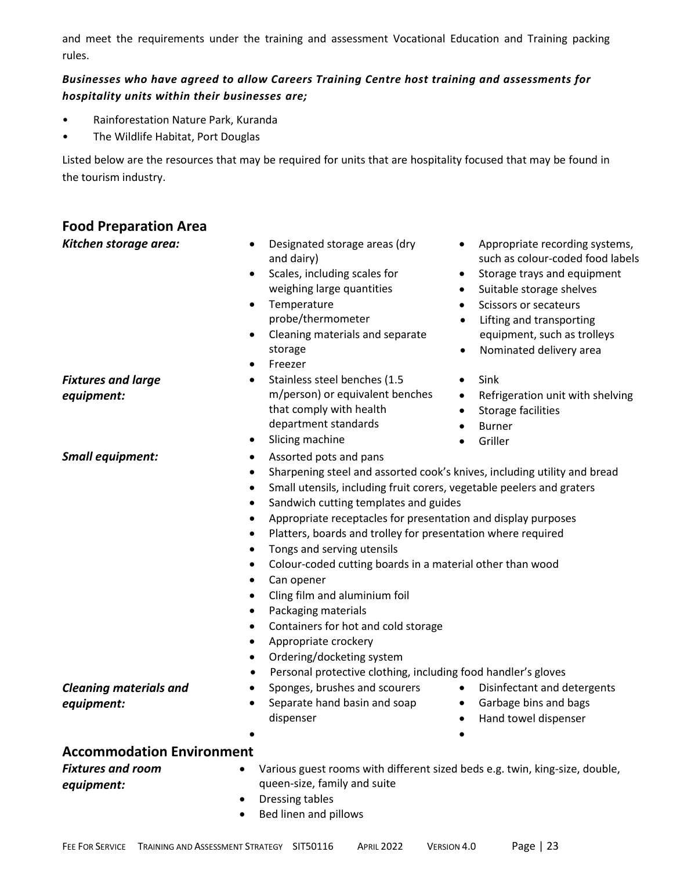and meet the requirements under the training and assessment Vocational Education and Training packing rules.

#### *Businesses who have agreed to allow Careers Training Centre host training and assessments for hospitality units within their businesses are;*

- Rainforestation Nature Park, Kuranda
- The Wildlife Habitat, Port Douglas

Listed below are the resources that may be required for units that are hospitality focused that may be found in the tourism industry.

| <b>Food Preparation Area</b><br>Kitchen storage area:                      | Designated storage areas (dry<br>Appropriate recording systems,<br>such as colour-coded food labels<br>and dairy)<br>Scales, including scales for<br>Storage trays and equipment<br>٠<br>٠<br>weighing large quantities<br>Suitable storage shelves<br>$\bullet$<br>Temperature<br>Scissors or secateurs<br>$\bullet$<br>probe/thermometer<br>Lifting and transporting<br>$\bullet$<br>Cleaning materials and separate<br>equipment, such as trolleys<br>٠<br>storage<br>Nominated delivery area<br>$\bullet$<br>Freezer<br>$\bullet$                                                                                                                                                                        |
|----------------------------------------------------------------------------|--------------------------------------------------------------------------------------------------------------------------------------------------------------------------------------------------------------------------------------------------------------------------------------------------------------------------------------------------------------------------------------------------------------------------------------------------------------------------------------------------------------------------------------------------------------------------------------------------------------------------------------------------------------------------------------------------------------|
| <b>Fixtures and large</b><br>equipment:                                    | Stainless steel benches (1.5<br>Sink<br>$\bullet$<br>m/person) or equivalent benches<br>Refrigeration unit with shelving<br>$\bullet$<br>that comply with health<br><b>Storage facilities</b><br>$\bullet$<br>department standards<br><b>Burner</b><br>$\bullet$<br>Slicing machine<br>Griller<br>٠<br>$\bullet$                                                                                                                                                                                                                                                                                                                                                                                             |
| <b>Small equipment:</b>                                                    | Assorted pots and pans<br>Sharpening steel and assorted cook's knives, including utility and bread<br>Small utensils, including fruit corers, vegetable peelers and graters<br>Sandwich cutting templates and guides<br>٠<br>Appropriate receptacles for presentation and display purposes<br>Platters, boards and trolley for presentation where required<br>٠<br>Tongs and serving utensils<br>٠<br>Colour-coded cutting boards in a material other than wood<br>Can opener<br>Cling film and aluminium foil<br>Packaging materials<br>Containers for hot and cold storage<br>Appropriate crockery<br>٠<br>Ordering/docketing system<br>Personal protective clothing, including food handler's gloves<br>٠ |
| <b>Cleaning materials and</b><br>equipment:                                | Sponges, brushes and scourers<br>Disinfectant and detergents<br>$\bullet$<br>Separate hand basin and soap<br>• Garbage bins and bags<br>dispenser<br>Hand towel dispenser                                                                                                                                                                                                                                                                                                                                                                                                                                                                                                                                    |
| <b>Accommodation Environment</b><br><b>Fixtures and room</b><br>equipment: | Various guest rooms with different sized beds e.g. twin, king-size, double,<br>queen-size, family and suite<br>Dressing tables<br>٠<br>Bed linen and pillows                                                                                                                                                                                                                                                                                                                                                                                                                                                                                                                                                 |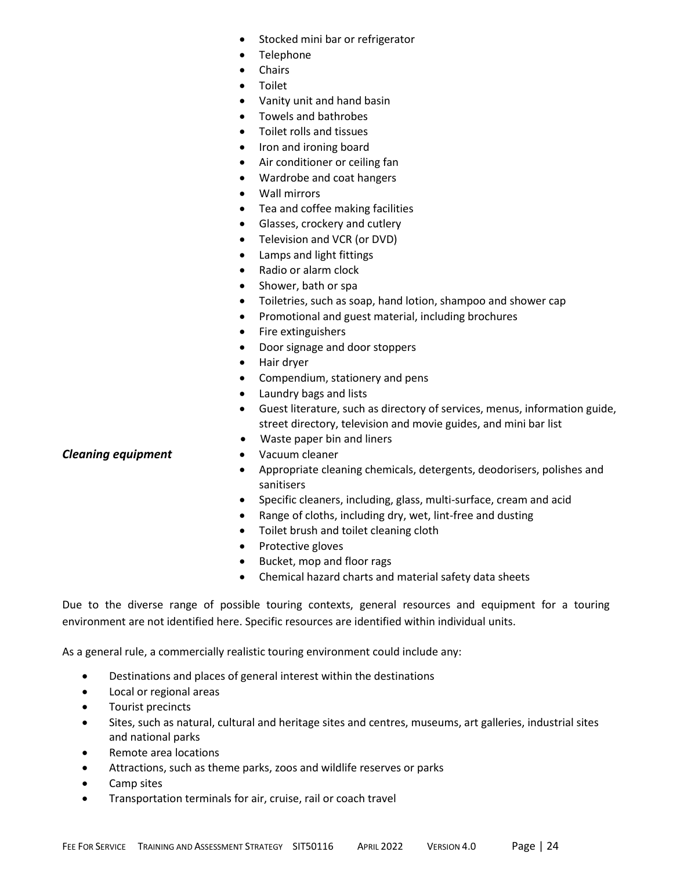- Stocked mini bar or refrigerator
- Telephone
- Chairs
- Toilet
- Vanity unit and hand basin
- Towels and bathrobes
- Toilet rolls and tissues
- Iron and ironing board
- Air conditioner or ceiling fan
- Wardrobe and coat hangers
- Wall mirrors
- Tea and coffee making facilities
- Glasses, crockery and cutlery
- Television and VCR (or DVD)
- Lamps and light fittings
- Radio or alarm clock
- Shower, bath or spa
- Toiletries, such as soap, hand lotion, shampoo and shower cap
- Promotional and guest material, including brochures
- Fire extinguishers
- Door signage and door stoppers
- Hair dryer
- Compendium, stationery and pens
- Laundry bags and lists
- Guest literature, such as directory of services, menus, information guide, street directory, television and movie guides, and mini bar list
- Waste paper bin and liners
- 
- Appropriate cleaning chemicals, detergents, deodorisers, polishes and sanitisers
- Specific cleaners, including, glass, multi-surface, cream and acid
- Range of cloths, including dry, wet, lint-free and dusting
- Toilet brush and toilet cleaning cloth
- Protective gloves
- Bucket, mop and floor rags
- Chemical hazard charts and material safety data sheets

Due to the diverse range of possible touring contexts, general resources and equipment for a touring environment are not identified here. Specific resources are identified within individual units.

As a general rule, a commercially realistic touring environment could include any:

- Destinations and places of general interest within the destinations
- Local or regional areas
- Tourist precincts
- Sites, such as natural, cultural and heritage sites and centres, museums, art galleries, industrial sites and national parks
- Remote area locations
- Attractions, such as theme parks, zoos and wildlife reserves or parks
- Camp sites
- Transportation terminals for air, cruise, rail or coach travel

#### **Cleaning equipment** • Vacuum cleaner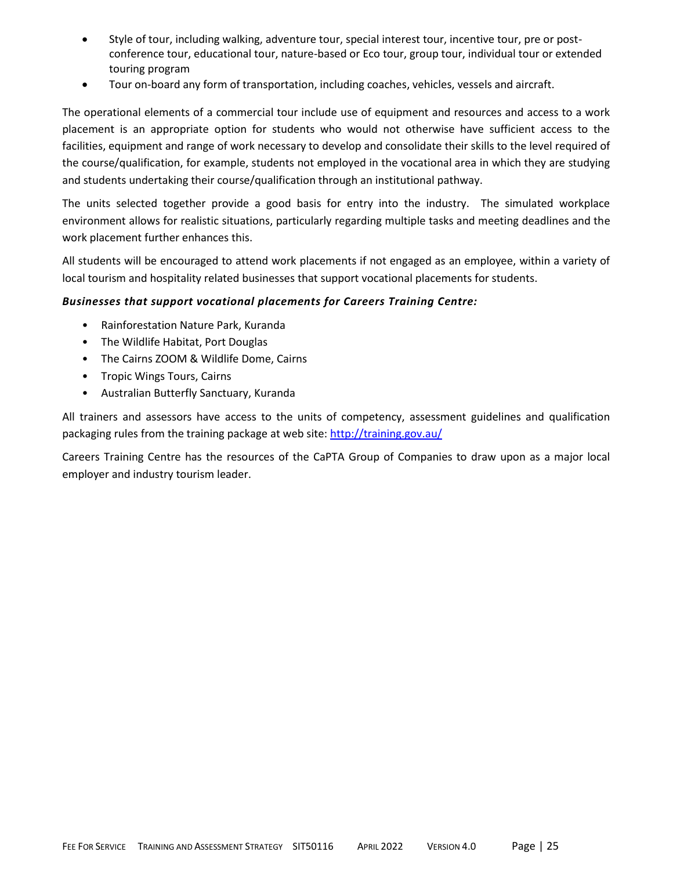- Style of tour, including walking, adventure tour, special interest tour, incentive tour, pre or postconference tour, educational tour, nature-based or Eco tour, group tour, individual tour or extended touring program
- Tour on-board any form of transportation, including coaches, vehicles, vessels and aircraft.

The operational elements of a commercial tour include use of equipment and resources and access to a work placement is an appropriate option for students who would not otherwise have sufficient access to the facilities, equipment and range of work necessary to develop and consolidate their skills to the level required of the course/qualification, for example, students not employed in the vocational area in which they are studying and students undertaking their course/qualification through an institutional pathway.

The units selected together provide a good basis for entry into the industry. The simulated workplace environment allows for realistic situations, particularly regarding multiple tasks and meeting deadlines and the work placement further enhances this.

All students will be encouraged to attend work placements if not engaged as an employee, within a variety of local tourism and hospitality related businesses that support vocational placements for students.

#### *Businesses that support vocational placements for Careers Training Centre:*

- Rainforestation Nature Park, Kuranda
- The Wildlife Habitat, Port Douglas
- The Cairns ZOOM & Wildlife Dome, Cairns
- Tropic Wings Tours, Cairns
- Australian Butterfly Sanctuary, Kuranda

All trainers and assessors have access to the units of competency, assessment guidelines and qualification packaging rules from the training package at web site:<http://training.gov.au/>

Careers Training Centre has the resources of the CaPTA Group of Companies to draw upon as a major local employer and industry tourism leader.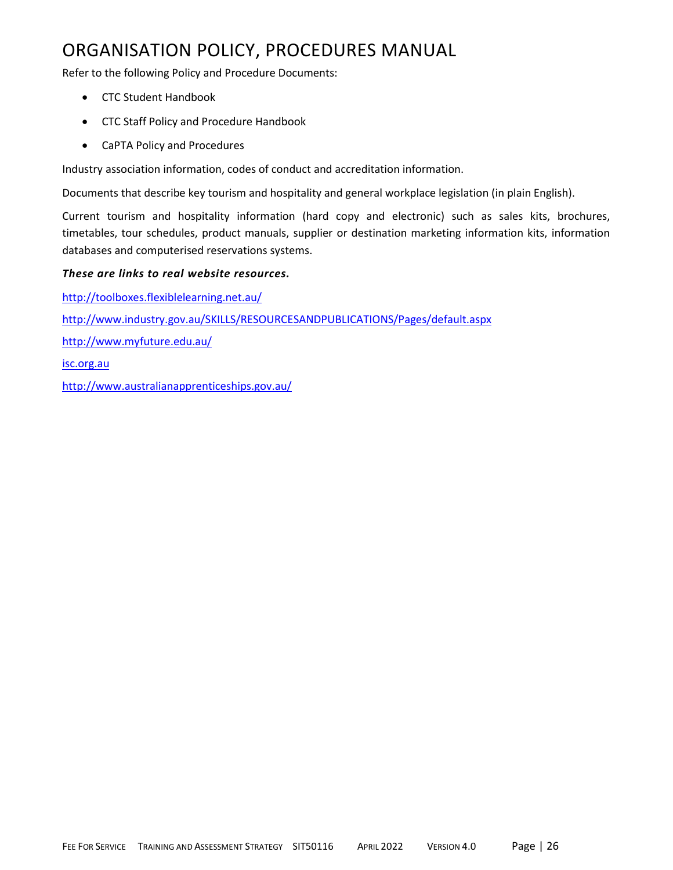## ORGANISATION POLICY, PROCEDURES MANUAL

Refer to the following Policy and Procedure Documents:

- CTC Student Handbook
- CTC Staff Policy and Procedure Handbook
- CaPTA Policy and Procedures

Industry association information, codes of conduct and accreditation information.

Documents that describe key tourism and hospitality and general workplace legislation (in plain English).

Current tourism and hospitality information (hard copy and electronic) such as sales kits, brochures, timetables, tour schedules, product manuals, supplier or destination marketing information kits, information databases and computerised reservations systems.

#### *These are links to real website resources.*

<http://toolboxes.flexiblelearning.net.au/> <http://www.industry.gov.au/SKILLS/RESOURCESANDPUBLICATIONS/Pages/default.aspx> <http://www.myfuture.edu.au/> [isc.org.au](http://www.isc.org.au/) <http://www.australianapprenticeships.gov.au/>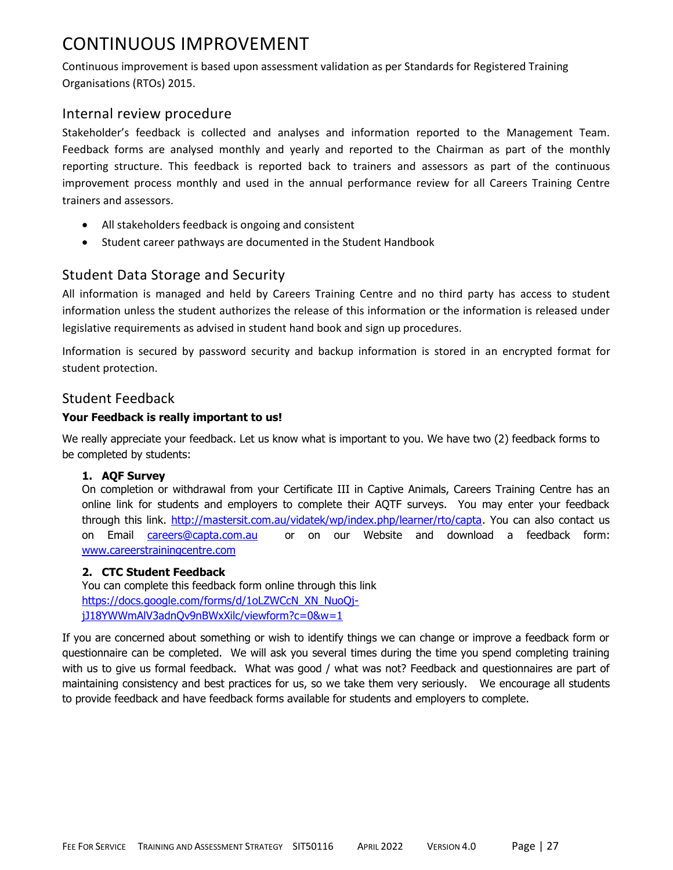## CONTINUOUS IMPROVEMENT

Continuous improvement is based upon assessment validation as per Standards for Registered Training Organisations (RTOs) 2015.

### Internal review procedure

Stakeholder's feedback is collected and analyses and information reported to the Management Team. Feedback forms are analysed monthly and yearly and reported to the Chairman as part of the monthly reporting structure. This feedback is reported back to trainers and assessors as part of the continuous improvement process monthly and used in the annual performance review for all Careers Training Centre trainers and assessors.

- All stakeholders feedback is ongoing and consistent
- Student career pathways are documented in the Student Handbook

## Student Data Storage and Security

All information is managed and held by Careers Training Centre and no third party has access to student information unless the student authorizes the release of this information or the information is released under legislative requirements as advised in student hand book and sign up procedures.

Information is secured by password security and backup information is stored in an encrypted format for student protection.

#### Student Feedback

#### **Your Feedback is really important to us!**

We really appreciate your feedback. Let us know what is important to you. We have two (2) feedback forms to be completed by students:

#### **1. AQF Survey**

On completion or withdrawal from your Certificate III in Captive Animals, Careers Training Centre has an online link for students and employers to complete their AQTF surveys. You may enter your feedback through this link. [http://mastersit.com.au/vidatek/wp/index.php/learner/rto/capta.](http://mastersit.com.au/vidatek/wp/index.php/learner/rto/capta) You can also contact us on Email [careers@capta.com.au](mailto:careers@capta.com.au) or on our Website and download a feedback form: [www.careerstrainingcentre.com](http://www.careerstrainingcentre.com/)

#### **2. CTC Student Feedback**

You can complete this feedback form online through this link [https://docs.google.com/forms/d/1oLZWCcN\\_XN\\_NuoQj](https://docs.google.com/forms/d/1oLZWCcN_XN_NuoQj-jJ18YWWmAlV3adnQv9nBWxXilc/viewform?c=0&w=1)[jJ18YWWmAlV3adnQv9nBWxXilc/viewform?c=0&w=1](https://docs.google.com/forms/d/1oLZWCcN_XN_NuoQj-jJ18YWWmAlV3adnQv9nBWxXilc/viewform?c=0&w=1)

If you are concerned about something or wish to identify things we can change or improve a feedback form or questionnaire can be completed. We will ask you several times during the time you spend completing training with us to give us formal feedback. What was good / what was not? Feedback and guestionnaires are part of maintaining consistency and best practices for us, so we take them very seriously. We encourage all students to provide feedback and have feedback forms available for students and employers to complete.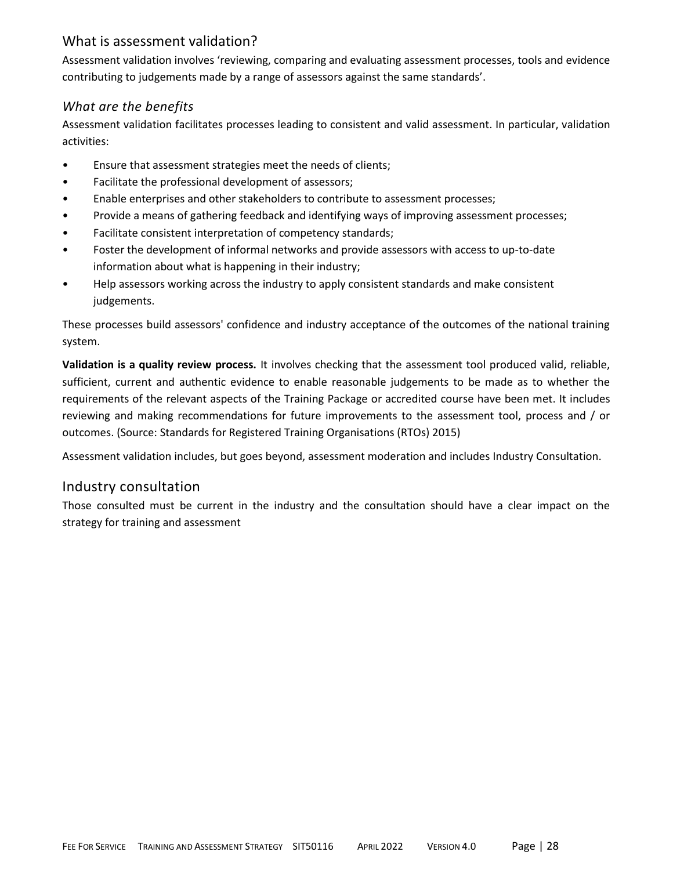## What is assessment validation?

Assessment validation involves 'reviewing, comparing and evaluating assessment processes, tools and evidence contributing to judgements made by a range of assessors against the same standards'.

#### *What are the benefits*

Assessment validation facilitates processes leading to consistent and valid assessment. In particular, validation activities:

- Ensure that assessment strategies meet the needs of clients;
- Facilitate the professional development of assessors;
- Enable enterprises and other stakeholders to contribute to assessment processes;
- Provide a means of gathering feedback and identifying ways of improving assessment processes;
- Facilitate consistent interpretation of competency standards;
- Foster the development of informal networks and provide assessors with access to up-to-date information about what is happening in their industry;
- Help assessors working across the industry to apply consistent standards and make consistent judgements.

These processes build assessors' confidence and industry acceptance of the outcomes of the national training system.

**Validation is a quality review process.** It involves checking that the assessment tool produced valid, reliable, sufficient, current and authentic evidence to enable reasonable judgements to be made as to whether the requirements of the relevant aspects of the Training Package or accredited course have been met. It includes reviewing and making recommendations for future improvements to the assessment tool, process and / or outcomes. (Source: Standards for Registered Training Organisations (RTOs) 2015)

Assessment validation includes, but goes beyond, assessment moderation and includes Industry Consultation.

#### Industry consultation

Those consulted must be current in the industry and the consultation should have a clear impact on the strategy for training and assessment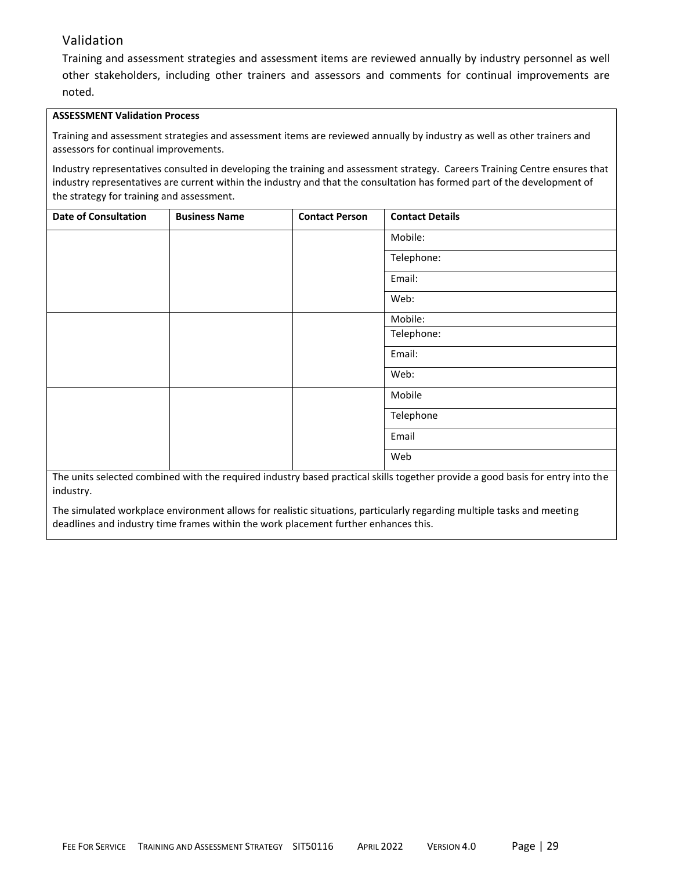#### Validation

Training and assessment strategies and assessment items are reviewed annually by industry personnel as well other stakeholders, including other trainers and assessors and comments for continual improvements are noted.

#### **ASSESSMENT Validation Process**

Training and assessment strategies and assessment items are reviewed annually by industry as well as other trainers and assessors for continual improvements.

Industry representatives consulted in developing the training and assessment strategy. Careers Training Centre ensures that industry representatives are current within the industry and that the consultation has formed part of the development of the strategy for training and assessment.

| Mobile:<br>Telephone:<br>Email:<br>Web: |
|-----------------------------------------|
|                                         |
|                                         |
|                                         |
|                                         |
| Mobile:                                 |
| Telephone:                              |
| Email:                                  |
| Web:                                    |
| Mobile                                  |
| Telephone                               |
| Email                                   |
| Web                                     |

The units selected combined with the required industry based practical skills together provide a good basis for entry into the industry.

The simulated workplace environment allows for realistic situations, particularly regarding multiple tasks and meeting deadlines and industry time frames within the work placement further enhances this.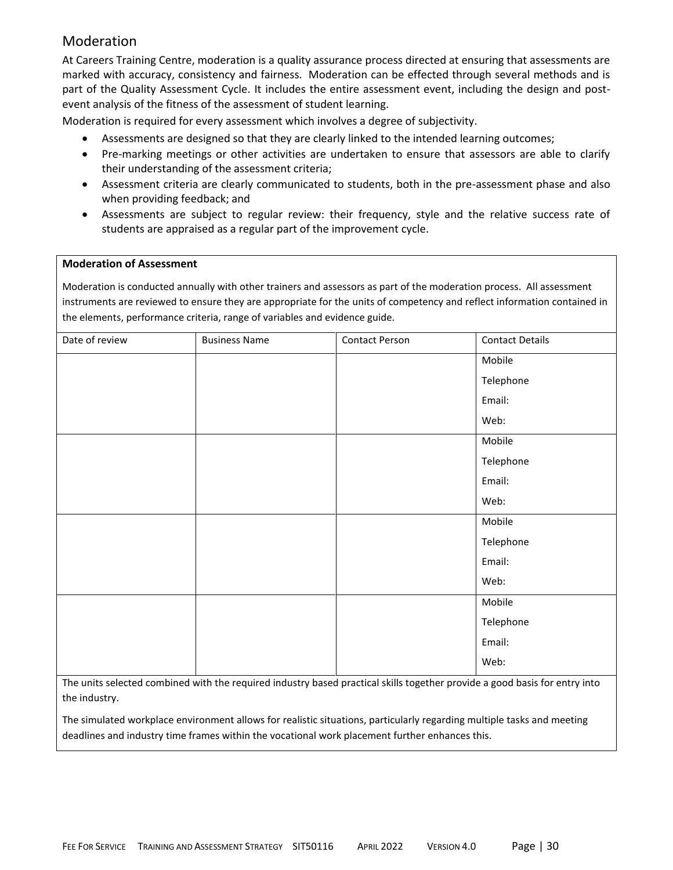## Moderation

At Careers Training Centre, moderation is a quality assurance process directed at ensuring that assessments are marked with accuracy, consistency and fairness. Moderation can be effected through several methods and is part of the Quality Assessment Cycle. It includes the entire assessment event, including the design and postevent analysis of the fitness of the assessment of student learning.

Moderation is required for every assessment which involves a degree of subjectivity.

- Assessments are designed so that they are clearly linked to the intended learning outcomes;
- Pre-marking meetings or other activities are undertaken to ensure that assessors are able to clarify their understanding of the assessment criteria;
- Assessment criteria are clearly communicated to students, both in the pre-assessment phase and also when providing feedback; and
- Assessments are subject to regular review: their frequency, style and the relative success rate of students are appraised as a regular part of the improvement cycle.

#### **Moderation of Assessment**

Moderation is conducted annually with other trainers and assessors as part of the moderation process. All assessment instruments are reviewed to ensure they are appropriate for the units of competency and reflect information contained in the elements, performance criteria, range of variables and evidence guide.

| Date of review | <b>Business Name</b> | <b>Contact Person</b> | <b>Contact Details</b> |
|----------------|----------------------|-----------------------|------------------------|
|                |                      |                       | Mobile                 |
|                |                      |                       | Telephone              |
|                |                      |                       | Email:                 |
|                |                      |                       | Web:                   |
|                |                      |                       | Mobile                 |
|                |                      |                       | Telephone              |
|                |                      |                       | Email:                 |
|                |                      |                       | Web:                   |
|                |                      |                       | Mobile                 |
|                |                      |                       | Telephone              |
|                |                      |                       | Email:                 |
|                |                      |                       | Web:                   |
|                |                      |                       | Mobile                 |
|                |                      |                       | Telephone              |
|                |                      |                       | Email:                 |
|                |                      |                       | Web:                   |
|                |                      |                       |                        |

The units selected combined with the required industry based practical skills together provide a good basis for entry into the industry.

The simulated workplace environment allows for realistic situations, particularly regarding multiple tasks and meeting deadlines and industry time frames within the vocational work placement further enhances this.